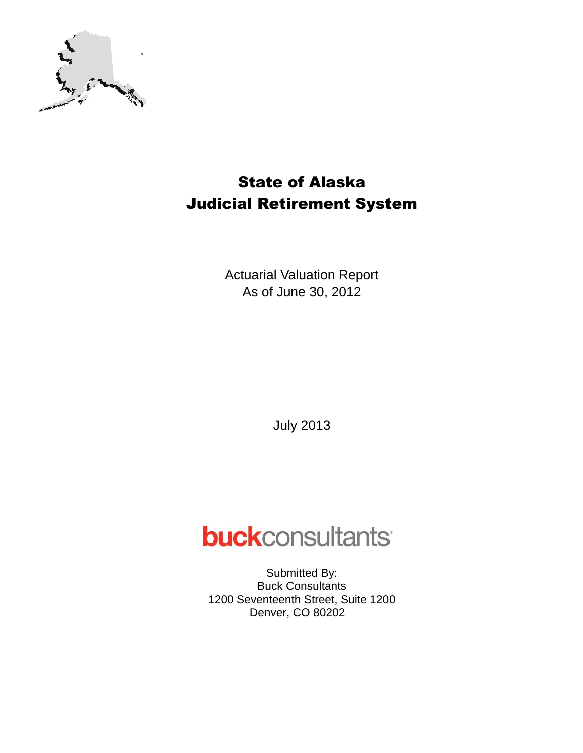

## State of Alaska Judicial Retirement System

Actuarial Valuation Report As of June 30, 2012

July 2013

# **buck**consultants

Submitted By: Buck Consultants 1200 Seventeenth Street, Suite 1200 Denver, CO 80202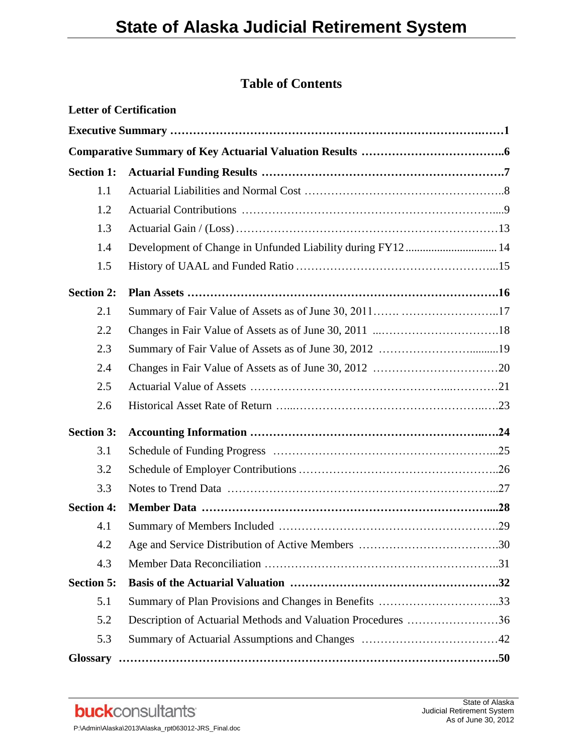## **Table of Contents**

|                   | <b>Letter of Certification</b>                               |  |
|-------------------|--------------------------------------------------------------|--|
|                   |                                                              |  |
|                   |                                                              |  |
| <b>Section 1:</b> |                                                              |  |
| 1.1               |                                                              |  |
| 1.2               |                                                              |  |
| 1.3               |                                                              |  |
| 1.4               |                                                              |  |
| 1.5               |                                                              |  |
| <b>Section 2:</b> |                                                              |  |
| 2.1               |                                                              |  |
| 2.2               |                                                              |  |
| 2.3               |                                                              |  |
| 2.4               |                                                              |  |
| 2.5               |                                                              |  |
| 2.6               |                                                              |  |
| <b>Section 3:</b> |                                                              |  |
| 3.1               |                                                              |  |
| 3.2               |                                                              |  |
| 3.3               |                                                              |  |
| <b>Section 4:</b> |                                                              |  |
| 4.1               |                                                              |  |
| 4.2               |                                                              |  |
| 4.3               |                                                              |  |
| <b>Section 5:</b> |                                                              |  |
| 5.1               | Summary of Plan Provisions and Changes in Benefits 33        |  |
| 5.2               | Description of Actuarial Methods and Valuation Procedures 36 |  |
| 5.3               |                                                              |  |
|                   |                                                              |  |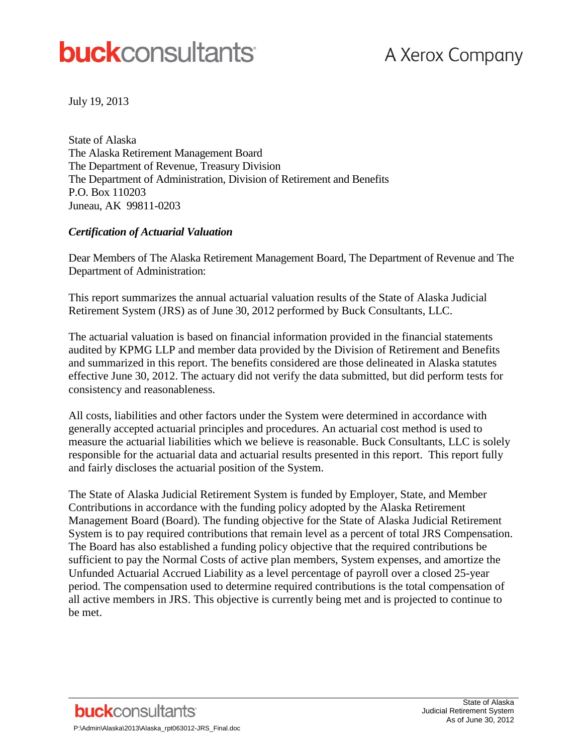# **buck**consultants

July 19, 2013

State of Alaska The Alaska Retirement Management Board The Department of Revenue, Treasury Division The Department of Administration, Division of Retirement and Benefits P.O. Box 110203 Juneau, AK 99811-0203

#### *Certification of Actuarial Valuation*

Dear Members of The Alaska Retirement Management Board, The Department of Revenue and The Department of Administration:

This report summarizes the annual actuarial valuation results of the State of Alaska Judicial Retirement System (JRS) as of June 30, 2012 performed by Buck Consultants, LLC.

The actuarial valuation is based on financial information provided in the financial statements audited by KPMG LLP and member data provided by the Division of Retirement and Benefits and summarized in this report. The benefits considered are those delineated in Alaska statutes effective June 30, 2012. The actuary did not verify the data submitted, but did perform tests for consistency and reasonableness.

All costs, liabilities and other factors under the System were determined in accordance with generally accepted actuarial principles and procedures. An actuarial cost method is used to measure the actuarial liabilities which we believe is reasonable. Buck Consultants, LLC is solely responsible for the actuarial data and actuarial results presented in this report. This report fully and fairly discloses the actuarial position of the System.

The State of Alaska Judicial Retirement System is funded by Employer, State, and Member Contributions in accordance with the funding policy adopted by the Alaska Retirement Management Board (Board). The funding objective for the State of Alaska Judicial Retirement System is to pay required contributions that remain level as a percent of total JRS Compensation. The Board has also established a funding policy objective that the required contributions be sufficient to pay the Normal Costs of active plan members, System expenses, and amortize the Unfunded Actuarial Accrued Liability as a level percentage of payroll over a closed 25-year period. The compensation used to determine required contributions is the total compensation of all active members in JRS. This objective is currently being met and is projected to continue to be met.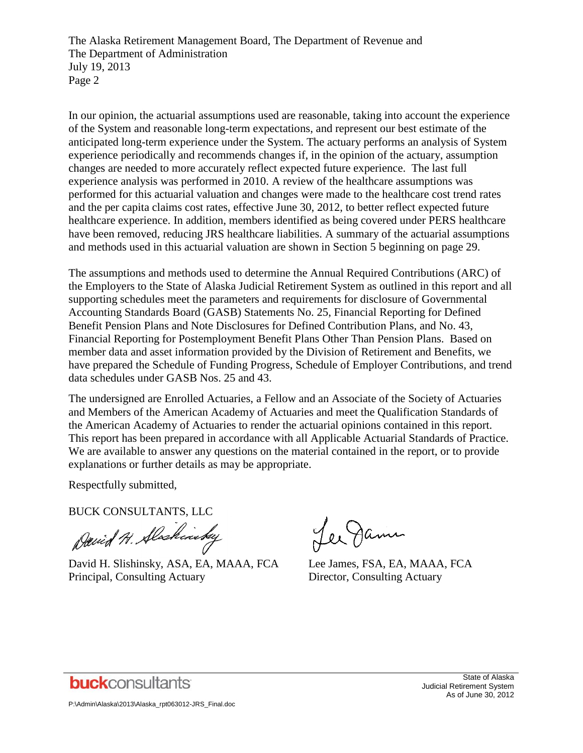The Alaska Retirement Management Board, The Department of Revenue and The Department of Administration July 19, 2013 Page 2

In our opinion, the actuarial assumptions used are reasonable, taking into account the experience of the System and reasonable long-term expectations, and represent our best estimate of the anticipated long-term experience under the System. The actuary performs an analysis of System experience periodically and recommends changes if, in the opinion of the actuary, assumption changes are needed to more accurately reflect expected future experience. The last full experience analysis was performed in 2010. A review of the healthcare assumptions was performed for this actuarial valuation and changes were made to the healthcare cost trend rates and the per capita claims cost rates, effective June 30, 2012, to better reflect expected future healthcare experience. In addition, members identified as being covered under PERS healthcare have been removed, reducing JRS healthcare liabilities. A summary of the actuarial assumptions and methods used in this actuarial valuation are shown in Section 5 beginning on page 29.

The assumptions and methods used to determine the Annual Required Contributions (ARC) of the Employers to the State of Alaska Judicial Retirement System as outlined in this report and all supporting schedules meet the parameters and requirements for disclosure of Governmental Accounting Standards Board (GASB) Statements No. 25, Financial Reporting for Defined Benefit Pension Plans and Note Disclosures for Defined Contribution Plans, and No. 43, Financial Reporting for Postemployment Benefit Plans Other Than Pension Plans. Based on member data and asset information provided by the Division of Retirement and Benefits, we have prepared the Schedule of Funding Progress, Schedule of Employer Contributions, and trend data schedules under GASB Nos. 25 and 43.

The undersigned are Enrolled Actuaries, a Fellow and an Associate of the Society of Actuaries and Members of the American Academy of Actuaries and meet the Qualification Standards of the American Academy of Actuaries to render the actuarial opinions contained in this report. This report has been prepared in accordance with all Applicable Actuarial Standards of Practice. We are available to answer any questions on the material contained in the report, or to provide explanations or further details as may be appropriate.

Respectfully submitted,

BUCK CONSULTANTS, LLC

David H. Alaskinsky

David H. Slishinsky, ASA, EA, MAAA, FCA Lee James, FSA, EA, MAAA, FCA Principal, Consulting Actuary Director, Consulting Actuary

Lee James

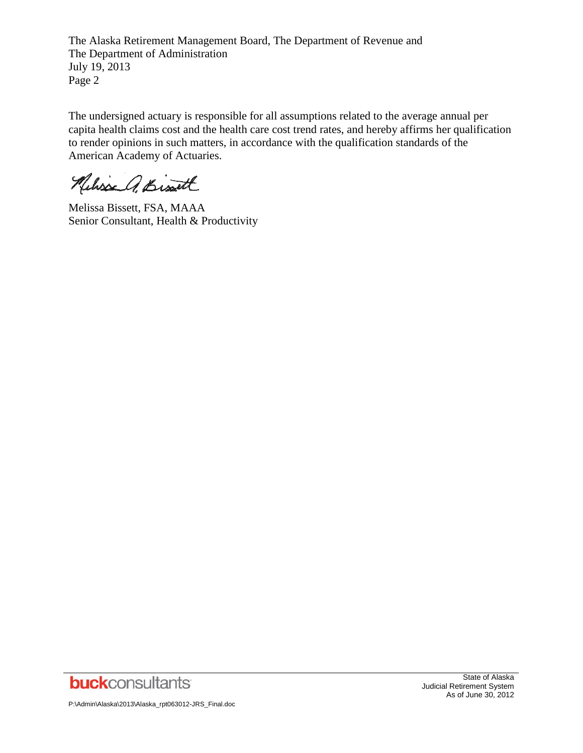The Alaska Retirement Management Board, The Department of Revenue and The Department of Administration July 19, 2013 Page 2

The undersigned actuary is responsible for all assumptions related to the average annual per capita health claims cost and the health care cost trend rates, and hereby affirms her qualification to render opinions in such matters, in accordance with the qualification standards of the American Academy of Actuaries.

Neliss A. Bist

Melissa Bissett, FSA, MAAA Senior Consultant, Health & Productivity



P:\Admin\Alaska\2013\Alaska\_rpt063012-JRS\_Final.doc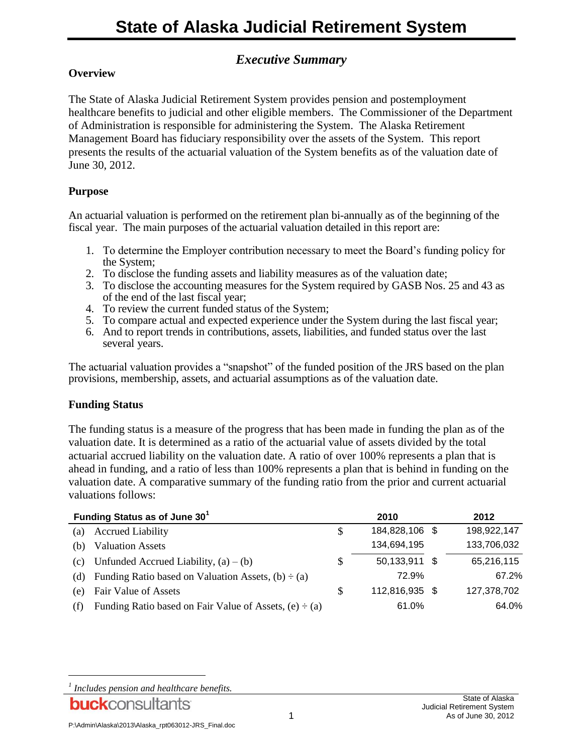## *Executive Summary*

#### **Overview**

The State of Alaska Judicial Retirement System provides pension and postemployment healthcare benefits to judicial and other eligible members. The Commissioner of the Department of Administration is responsible for administering the System. The Alaska Retirement Management Board has fiduciary responsibility over the assets of the System. This report presents the results of the actuarial valuation of the System benefits as of the valuation date of June 30, 2012.

#### **Purpose**

An actuarial valuation is performed on the retirement plan bi-annually as of the beginning of the fiscal year. The main purposes of the actuarial valuation detailed in this report are:

- 1. To determine the Employer contribution necessary to meet the Board's funding policy for the System;
- 2. To disclose the funding assets and liability measures as of the valuation date;
- 3. To disclose the accounting measures for the System required by GASB Nos. 25 and 43 as of the end of the last fiscal year;
- 4. To review the current funded status of the System;
- 5. To compare actual and expected experience under the System during the last fiscal year;
- 6. And to report trends in contributions, assets, liabilities, and funded status over the last several years.

The actuarial valuation provides a "snapshot" of the funded position of the JRS based on the plan provisions, membership, assets, and actuarial assumptions as of the valuation date.

#### **Funding Status**

The funding status is a measure of the progress that has been made in funding the plan as of the valuation date. It is determined as a ratio of the actuarial value of assets divided by the total actuarial accrued liability on the valuation date. A ratio of over 100% represents a plan that is ahead in funding, and a ratio of less than 100% represents a plan that is behind in funding on the valuation date. A comparative summary of the funding ratio from the prior and current actuarial valuations follows:

| Funding Status as of June 30 <sup>1</sup> |                                                             |   | 2010           | 2012 |             |  |
|-------------------------------------------|-------------------------------------------------------------|---|----------------|------|-------------|--|
| (a)                                       | <b>Accrued Liability</b>                                    | S | 184,828,106 \$ |      | 198,922,147 |  |
| (b)                                       | <b>Valuation Assets</b>                                     |   | 134,694,195    |      | 133,706,032 |  |
| (c)                                       | Unfunded Accrued Liability, $(a) - (b)$                     | S | 50,133,911 \$  |      | 65,216,115  |  |
| (d)                                       | Funding Ratio based on Valuation Assets, $(b) \div (a)$     |   | 72.9%          |      | 67.2%       |  |
| e)                                        | Fair Value of Assets                                        | S | 112,816,935 \$ |      | 127,378,702 |  |
| (f)                                       | Funding Ratio based on Fair Value of Assets, $(e) \div (a)$ |   | 61.0%          |      | 64.0%       |  |

l

*<sup>1</sup> Includes pension and healthcare benefits.*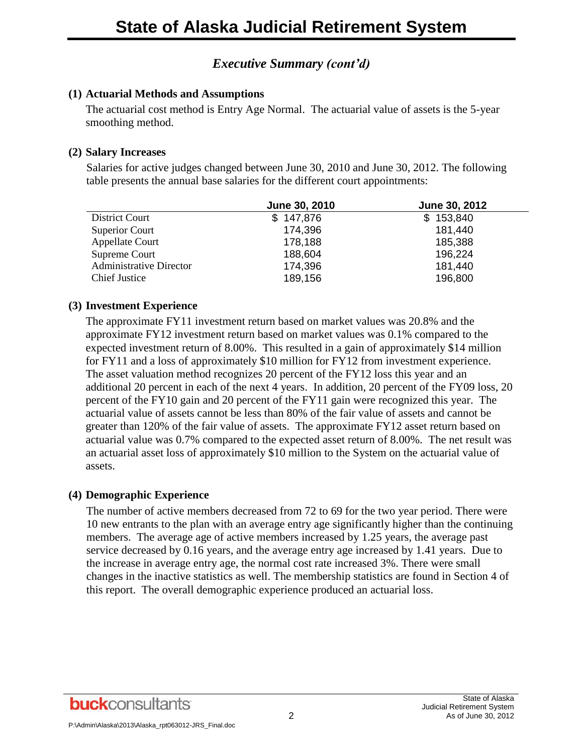## *Executive Summary (cont'd)*

#### **(1) Actuarial Methods and Assumptions**

The actuarial cost method is Entry Age Normal. The actuarial value of assets is the 5-year smoothing method.

#### **(2) Salary Increases**

Salaries for active judges changed between June 30, 2010 and June 30, 2012. The following table presents the annual base salaries for the different court appointments:

|                                | June 30, 2010 | June 30, 2012 |
|--------------------------------|---------------|---------------|
| District Court                 | \$147,876     | \$153,840     |
| <b>Superior Court</b>          | 174,396       | 181,440       |
| Appellate Court                | 178,188       | 185,388       |
| Supreme Court                  | 188,604       | 196,224       |
| <b>Administrative Director</b> | 174,396       | 181,440       |
| <b>Chief Justice</b>           | 189,156       | 196,800       |

#### **(3) Investment Experience**

The approximate FY11 investment return based on market values was 20.8% and the approximate FY12 investment return based on market values was 0.1% compared to the expected investment return of 8.00%. This resulted in a gain of approximately \$14 million for FY11 and a loss of approximately \$10 million for FY12 from investment experience. The asset valuation method recognizes 20 percent of the FY12 loss this year and an additional 20 percent in each of the next 4 years. In addition, 20 percent of the FY09 loss, 20 percent of the FY10 gain and 20 percent of the FY11 gain were recognized this year. The actuarial value of assets cannot be less than 80% of the fair value of assets and cannot be greater than 120% of the fair value of assets. The approximate FY12 asset return based on actuarial value was 0.7% compared to the expected asset return of 8.00%. The net result was an actuarial asset loss of approximately \$10 million to the System on the actuarial value of assets.

#### **(4) Demographic Experience**

The number of active members decreased from 72 to 69 for the two year period. There were 10 new entrants to the plan with an average entry age significantly higher than the continuing members. The average age of active members increased by 1.25 years, the average past service decreased by 0.16 years, and the average entry age increased by 1.41 years. Due to the increase in average entry age, the normal cost rate increased 3%. There were small changes in the inactive statistics as well. The membership statistics are found in Section 4 of this report. The overall demographic experience produced an actuarial loss.

**buck**consultants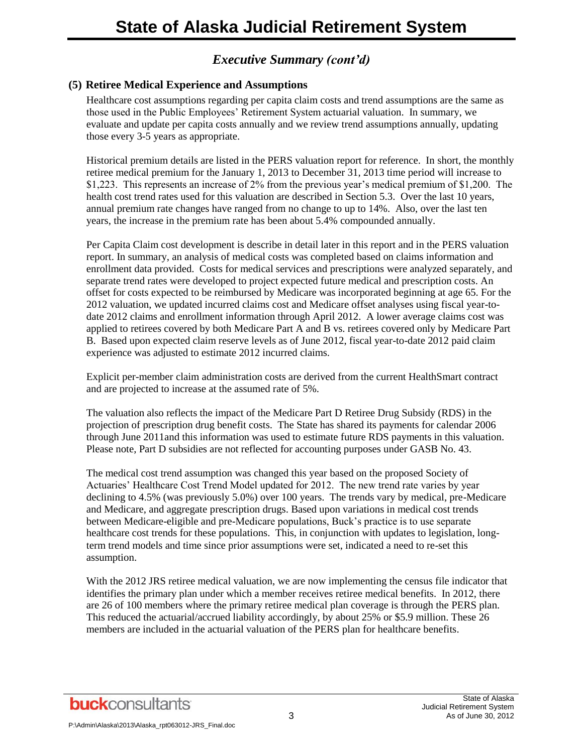## *Executive Summary (cont'd)*

#### **(5) Retiree Medical Experience and Assumptions**

Healthcare cost assumptions regarding per capita claim costs and trend assumptions are the same as those used in the Public Employees' Retirement System actuarial valuation. In summary, we evaluate and update per capita costs annually and we review trend assumptions annually, updating those every 3-5 years as appropriate.

Historical premium details are listed in the PERS valuation report for reference. In short, the monthly retiree medical premium for the January 1, 2013 to December 31, 2013 time period will increase to \$1,223. This represents an increase of 2% from the previous year's medical premium of \$1,200. The health cost trend rates used for this valuation are described in Section 5.3. Over the last 10 years, annual premium rate changes have ranged from no change to up to 14%. Also, over the last ten years, the increase in the premium rate has been about 5.4% compounded annually.

Per Capita Claim cost development is describe in detail later in this report and in the PERS valuation report. In summary, an analysis of medical costs was completed based on claims information and enrollment data provided. Costs for medical services and prescriptions were analyzed separately, and separate trend rates were developed to project expected future medical and prescription costs. An offset for costs expected to be reimbursed by Medicare was incorporated beginning at age 65. For the 2012 valuation, we updated incurred claims cost and Medicare offset analyses using fiscal year-todate 2012 claims and enrollment information through April 2012. A lower average claims cost was applied to retirees covered by both Medicare Part A and B vs. retirees covered only by Medicare Part B. Based upon expected claim reserve levels as of June 2012, fiscal year-to-date 2012 paid claim experience was adjusted to estimate 2012 incurred claims.

Explicit per-member claim administration costs are derived from the current HealthSmart contract and are projected to increase at the assumed rate of 5%.

The valuation also reflects the impact of the Medicare Part D Retiree Drug Subsidy (RDS) in the projection of prescription drug benefit costs. The State has shared its payments for calendar 2006 through June 2011and this information was used to estimate future RDS payments in this valuation. Please note, Part D subsidies are not reflected for accounting purposes under GASB No. 43.

The medical cost trend assumption was changed this year based on the proposed Society of Actuaries' Healthcare Cost Trend Model updated for 2012. The new trend rate varies by year declining to 4.5% (was previously 5.0%) over 100 years. The trends vary by medical, pre-Medicare and Medicare, and aggregate prescription drugs. Based upon variations in medical cost trends between Medicare-eligible and pre-Medicare populations, Buck's practice is to use separate healthcare cost trends for these populations. This, in conjunction with updates to legislation, longterm trend models and time since prior assumptions were set, indicated a need to re-set this assumption.

With the 2012 JRS retiree medical valuation, we are now implementing the census file indicator that identifies the primary plan under which a member receives retiree medical benefits. In 2012, there are 26 of 100 members where the primary retiree medical plan coverage is through the PERS plan. This reduced the actuarial/accrued liability accordingly, by about 25% or \$5.9 million. These 26 members are included in the actuarial valuation of the PERS plan for healthcare benefits.

**buck**consultants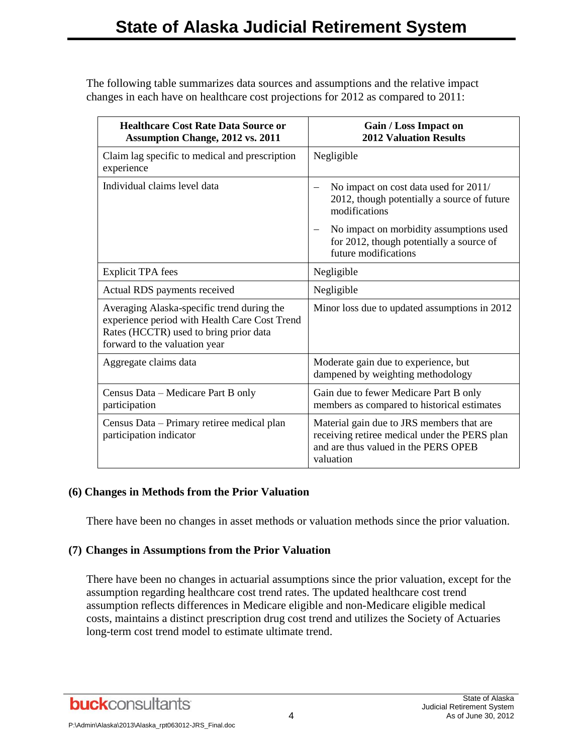The following table summarizes data sources and assumptions and the relative impact changes in each have on healthcare cost projections for 2012 as compared to 2011:

| <b>Healthcare Cost Rate Data Source or</b><br><b>Assumption Change, 2012 vs. 2011</b>                                                                                  | Gain / Loss Impact on<br><b>2012 Valuation Results</b>                                                                                          |
|------------------------------------------------------------------------------------------------------------------------------------------------------------------------|-------------------------------------------------------------------------------------------------------------------------------------------------|
| Claim lag specific to medical and prescription<br>experience                                                                                                           | Negligible                                                                                                                                      |
| Individual claims level data                                                                                                                                           | No impact on cost data used for 2011/<br>2012, though potentially a source of future<br>modifications                                           |
|                                                                                                                                                                        | No impact on morbidity assumptions used<br>for 2012, though potentially a source of<br>future modifications                                     |
| <b>Explicit TPA</b> fees                                                                                                                                               | Negligible                                                                                                                                      |
| Actual RDS payments received                                                                                                                                           | Negligible                                                                                                                                      |
| Averaging Alaska-specific trend during the<br>experience period with Health Care Cost Trend<br>Rates (HCCTR) used to bring prior data<br>forward to the valuation year | Minor loss due to updated assumptions in 2012                                                                                                   |
| Aggregate claims data                                                                                                                                                  | Moderate gain due to experience, but<br>dampened by weighting methodology                                                                       |
| Census Data - Medicare Part B only<br>participation                                                                                                                    | Gain due to fewer Medicare Part B only<br>members as compared to historical estimates                                                           |
| Census Data - Primary retiree medical plan<br>participation indicator                                                                                                  | Material gain due to JRS members that are<br>receiving retiree medical under the PERS plan<br>and are thus valued in the PERS OPEB<br>valuation |

#### **(6) Changes in Methods from the Prior Valuation**

There have been no changes in asset methods or valuation methods since the prior valuation.

#### **(7) Changes in Assumptions from the Prior Valuation**

There have been no changes in actuarial assumptions since the prior valuation, except for the assumption regarding healthcare cost trend rates. The updated healthcare cost trend assumption reflects differences in Medicare eligible and non-Medicare eligible medical costs, maintains a distinct prescription drug cost trend and utilizes the Society of Actuaries long-term cost trend model to estimate ultimate trend.

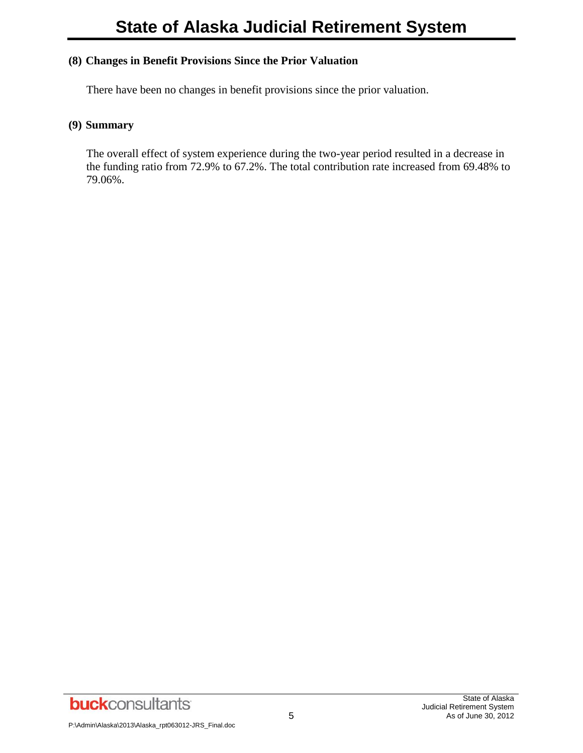#### **(8) Changes in Benefit Provisions Since the Prior Valuation**

There have been no changes in benefit provisions since the prior valuation.

#### **(9) Summary**

The overall effect of system experience during the two-year period resulted in a decrease in the funding ratio from 72.9% to 67.2%. The total contribution rate increased from 69.48% to 79.06%.

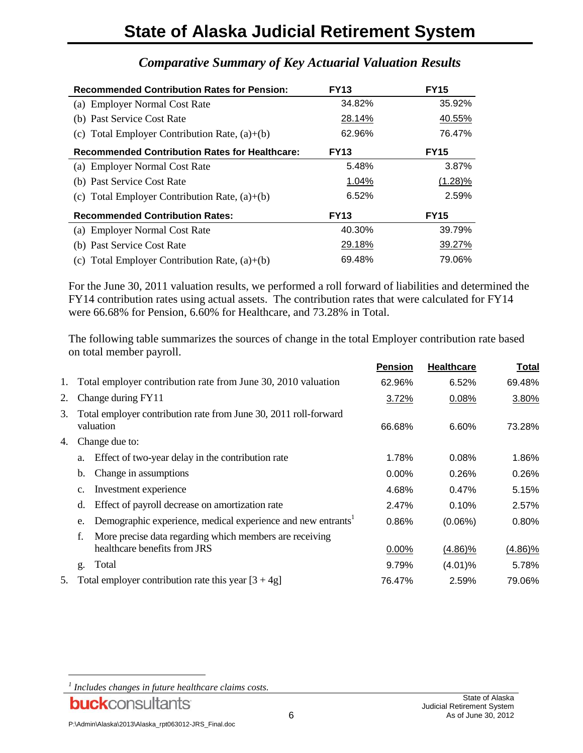## **State of Alaska Judicial Retirement System**

| <b>Recommended Contribution Rates for Pension:</b>    | <b>FY13</b> | <b>FY15</b> |
|-------------------------------------------------------|-------------|-------------|
| (a) Employer Normal Cost Rate                         | 34.82%      | 35.92%      |
| (b) Past Service Cost Rate                            | 28.14%      | 40.55%      |
| (c) Total Employer Contribution Rate, $(a)+(b)$       | 62.96%      | 76.47%      |
| <b>Recommended Contribution Rates for Healthcare:</b> | <b>FY13</b> | <b>FY15</b> |
| (a) Employer Normal Cost Rate                         | 5.48%       | 3.87%       |
| (b) Past Service Cost Rate                            | 1.04%       | $(1.28)\%$  |
| (c) Total Employer Contribution Rate, $(a)+(b)$       | 6.52%       | 2.59%       |
| <b>Recommended Contribution Rates:</b>                | <b>FY13</b> | <b>FY15</b> |
| (a) Employer Normal Cost Rate                         | 40.30%      | 39.79%      |
| (b) Past Service Cost Rate                            | 29.18%      | 39.27%      |
| (c) Total Employer Contribution Rate, $(a)+(b)$       | 69.48%      | 79.06%      |

## *Comparative Summary of Key Actuarial Valuation Results*

For the June 30, 2011 valuation results, we performed a roll forward of liabilities and determined the FY14 contribution rates using actual assets. The contribution rates that were calculated for FY14 were 66.68% for Pension, 6.60% for Healthcare, and 73.28% in Total.

The following table summarizes the sources of change in the total Employer contribution rate based on total member payroll.

|    |                                                                                               | <b>Pension</b> | <b>Healthcare</b> | <b>Total</b> |
|----|-----------------------------------------------------------------------------------------------|----------------|-------------------|--------------|
| 1. | Total employer contribution rate from June 30, 2010 valuation                                 | 62.96%         | 6.52%             | 69.48%       |
| 2. | Change during FY11                                                                            | 3.72%          | 0.08%             | 3.80%        |
| 3. | Total employer contribution rate from June 30, 2011 roll-forward<br>valuation                 | 66.68%         | 6.60%             | 73.28%       |
| 4. | Change due to:                                                                                |                |                   |              |
|    | Effect of two-year delay in the contribution rate<br>a.                                       | 1.78%          | 0.08%             | 1.86%        |
|    | Change in assumptions<br>b.                                                                   | $0.00\%$       | 0.26%             | 0.26%        |
|    | Investment experience<br>c.                                                                   | 4.68%          | 0.47%             | 5.15%        |
|    | Effect of payroll decrease on amortization rate<br>d.                                         | 2.47%          | 0.10%             | 2.57%        |
|    | Demographic experience, medical experience and new entrants <sup>1</sup><br>e.                | 0.86%          | $(0.06\%)$        | 0.80%        |
|    | More precise data regarding which members are receiving<br>f.<br>healthcare benefits from JRS | 0.00%          | $(4.86)\%$        | $(4.86)\%$   |
|    | Total<br>g.                                                                                   | 9.79%          | $(4.01)\%$        | 5.78%        |
| 5. | Total employer contribution rate this year $[3 + 4g]$                                         | 76.47%         | 2.59%             | 79.06%       |

l

*<sup>1</sup> Includes changes in future healthcare claims costs.*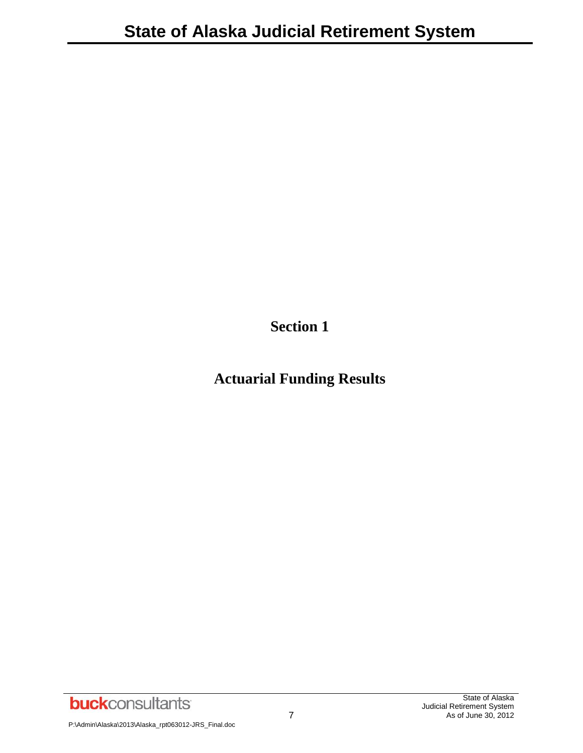**Section 1**

## **Actuarial Funding Results**

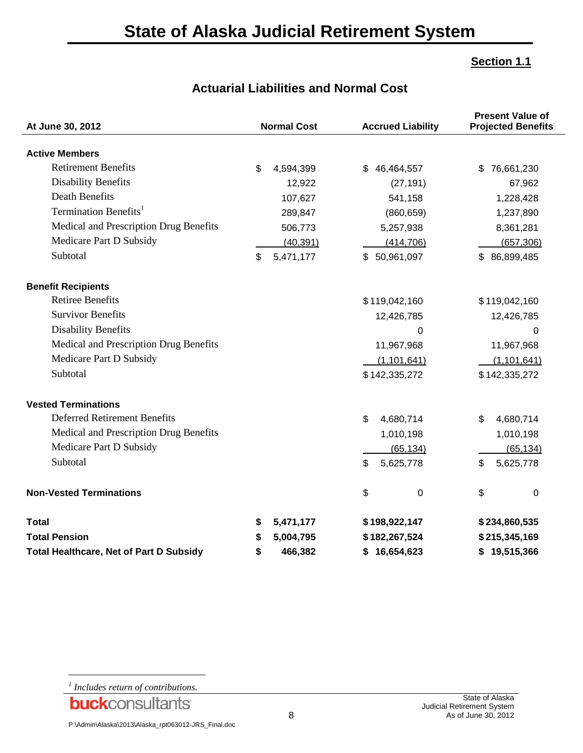#### **Section 1.1**

|  | <b>Actuarial Liabilities and Normal Cost</b> |  |  |  |
|--|----------------------------------------------|--|--|--|
|--|----------------------------------------------|--|--|--|

| At June 30, 2012                               | <b>Normal Cost</b> | <b>Accrued Liability</b> | <b>Present Value of</b><br><b>Projected Benefits</b> |  |  |
|------------------------------------------------|--------------------|--------------------------|------------------------------------------------------|--|--|
| <b>Active Members</b>                          |                    |                          |                                                      |  |  |
| <b>Retirement Benefits</b>                     | \$<br>4,594,399    | 46,464,557<br>\$         | 76,661,230<br>\$                                     |  |  |
| <b>Disability Benefits</b>                     | 12,922             | (27, 191)                | 67,962                                               |  |  |
| <b>Death Benefits</b>                          | 107,627            | 541,158                  | 1,228,428                                            |  |  |
| Termination Benefits <sup>1</sup>              | 289,847            | (860, 659)               | 1,237,890                                            |  |  |
| Medical and Prescription Drug Benefits         | 506,773            | 5,257,938                | 8,361,281                                            |  |  |
| Medicare Part D Subsidy                        | (40, 391)          | (414, 706)               | (657, 306)                                           |  |  |
| Subtotal                                       | 5,471,177<br>\$    | \$50,961,097             | \$86,899,485                                         |  |  |
| <b>Benefit Recipients</b>                      |                    |                          |                                                      |  |  |
| <b>Retiree Benefits</b>                        |                    | \$119,042,160            | \$119,042,160                                        |  |  |
| <b>Survivor Benefits</b>                       |                    | 12,426,785               | 12,426,785                                           |  |  |
| <b>Disability Benefits</b>                     |                    | 0                        | $\Omega$                                             |  |  |
| Medical and Prescription Drug Benefits         |                    | 11,967,968               | 11,967,968                                           |  |  |
| Medicare Part D Subsidy                        |                    | (1, 101, 641)            | (1, 101, 641)                                        |  |  |
| Subtotal                                       |                    | \$142,335,272            | \$142,335,272                                        |  |  |
| <b>Vested Terminations</b>                     |                    |                          |                                                      |  |  |
| <b>Deferred Retirement Benefits</b>            |                    | \$<br>4,680,714          | \$<br>4,680,714                                      |  |  |
| Medical and Prescription Drug Benefits         |                    | 1,010,198                | 1,010,198                                            |  |  |
| Medicare Part D Subsidy                        |                    | (65, 134)                | (65, 134)                                            |  |  |
| Subtotal                                       |                    | \$<br>5,625,778          | 5,625,778<br>\$                                      |  |  |
| <b>Non-Vested Terminations</b>                 |                    | \$<br>0                  | \$<br>$\pmb{0}$                                      |  |  |
| <b>Total</b>                                   | \$<br>5,471,177    | \$198,922,147            | \$234,860,535                                        |  |  |
| <b>Total Pension</b>                           | 5,004,795<br>\$    | \$182,267,524            | \$215,345,169                                        |  |  |
| <b>Total Healthcare, Net of Part D Subsidy</b> | \$<br>466,382      | 16,654,623<br>\$         | 19,515,366<br>\$                                     |  |  |

*1 Includes return of contributions.*

l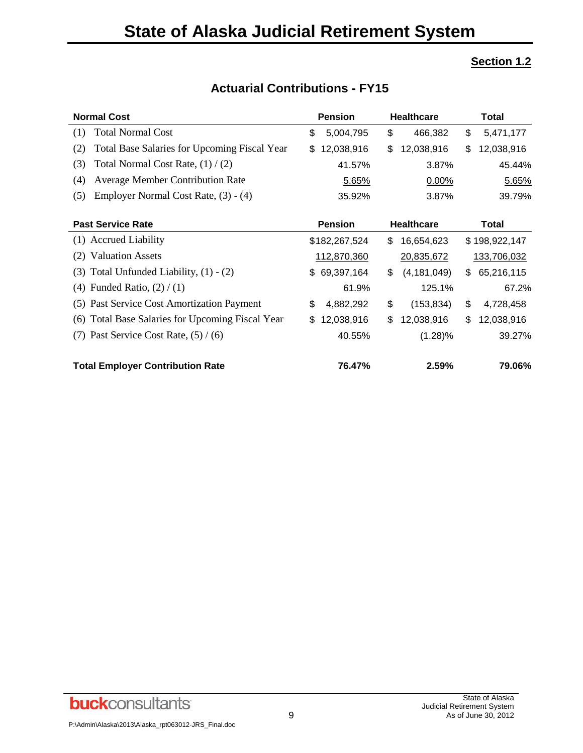## **Section 1.2**

| <b>Normal Cost</b><br><b>Pension</b><br><b>Healthcare</b>  |                  |                     | <b>Total</b>     |
|------------------------------------------------------------|------------------|---------------------|------------------|
| <b>Total Normal Cost</b><br>(1)                            | \$<br>5,004,795  | \$<br>466,382       | \$<br>5,471,177  |
| <b>Total Base Salaries for Upcoming Fiscal Year</b><br>(2) | 12,038,916<br>\$ | \$<br>12,038,916    | \$<br>12,038,916 |
| Total Normal Cost Rate, $(1) / (2)$<br>(3)                 | 41.57%           | 3.87%               | 45.44%           |
| <b>Average Member Contribution Rate</b><br>(4)             | 5.65%            | 0.00%               | 5.65%            |
| Employer Normal Cost Rate, (3) - (4)<br>(5)                | 35.92%           | 3.87%               | 39.79%           |
|                                                            |                  |                     |                  |
| <b>Past Service Rate</b>                                   | <b>Pension</b>   | <b>Healthcare</b>   | <b>Total</b>     |
| (1) Accrued Liability                                      | \$182,267,524    | \$<br>16,654,623    | \$198,922,147    |
| <b>Valuation Assets</b><br>(2)                             | 112,870,360      | 20,835,672          | 133,706,032      |
| Total Unfunded Liability, $(1) - (2)$<br>(3)               | \$69,397,164     | S.<br>(4, 181, 049) | \$<br>65,216,115 |
| (4) Funded Ratio, $(2) / (1)$                              | 61.9%            | 125.1%              | 67.2%            |
| (5) Past Service Cost Amortization Payment                 | \$<br>4,882,292  | \$<br>(153, 834)    | \$<br>4,728,458  |
| Total Base Salaries for Upcoming Fiscal Year<br>(6)        | 12,038,916<br>S. | \$<br>12,038,916    | \$<br>12,038,916 |
| Past Service Cost Rate, $(5) / (6)$<br>(7)                 | 40.55%           | $(1.28)\%$          | 39.27%           |
| <b>Total Employer Contribution Rate</b>                    | 76.47%           | 2.59%               | 79.06%           |

## **Actuarial Contributions - FY15**

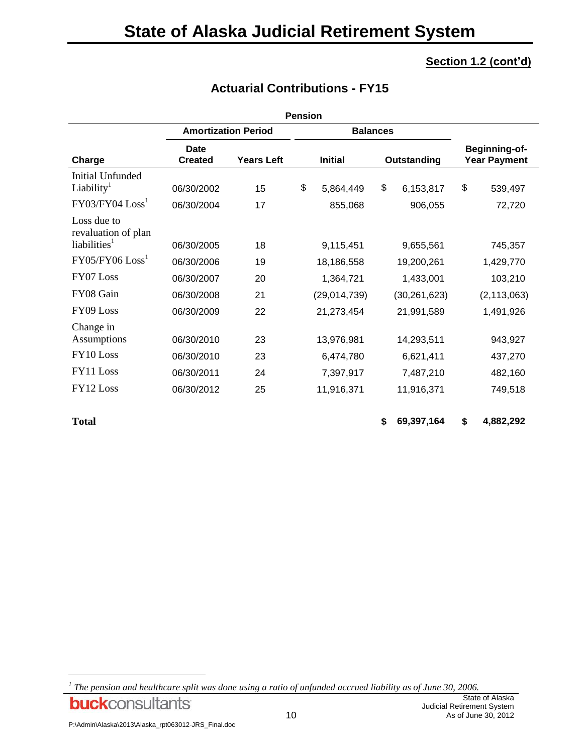| <b>Pension</b>                                                    |                          |                   |    |                               |    |                                             |    |                      |
|-------------------------------------------------------------------|--------------------------|-------------------|----|-------------------------------|----|---------------------------------------------|----|----------------------|
| <b>Amortization Period</b><br><b>Balances</b>                     |                          |                   |    |                               |    |                                             |    |                      |
| Charge                                                            | Date<br><b>Created</b>   | <b>Years Left</b> |    | <b>Initial</b><br>Outstanding |    | <b>Beginning-of-</b><br><b>Year Payment</b> |    |                      |
| Initial Unfunded<br>Liability <sup>1</sup><br>$FY03/FY04$ $Loss1$ | 06/30/2002               | 15                | \$ | 5,864,449                     | \$ | 6,153,817                                   | \$ | 539,497              |
| Loss due to<br>revaluation of plan<br>liabilities <sup>1</sup>    | 06/30/2004<br>06/30/2005 | 17<br>18          |    | 855,068<br>9,115,451          |    | 906,055<br>9,655,561                        |    | 72,720               |
| $FY05/FY06$ $Loss1$                                               | 06/30/2006               | 19                |    | 18,186,558                    |    | 19,200,261                                  |    | 745,357<br>1,429,770 |
| FY07 Loss                                                         | 06/30/2007               | 20                |    | 1,364,721                     |    | 1,433,001                                   |    | 103,210              |
| FY08 Gain                                                         | 06/30/2008               | 21                |    | (29,014,739)                  |    | (30, 261, 623)                              |    | (2, 113, 063)        |
| FY09 Loss                                                         | 06/30/2009               | 22                |    | 21,273,454                    |    | 21,991,589                                  |    | 1,491,926            |
| Change in<br>Assumptions                                          | 06/30/2010               | 23                |    | 13,976,981                    |    | 14,293,511                                  |    | 943,927              |
| FY10 Loss                                                         | 06/30/2010               | 23                |    | 6,474,780                     |    | 6,621,411                                   |    | 437,270              |
| FY11 Loss                                                         | 06/30/2011               | 24                |    | 7,397,917                     |    | 7,487,210                                   |    | 482,160              |
| FY12 Loss                                                         | 06/30/2012               | 25                |    | 11,916,371                    |    | 11,916,371                                  |    | 749,518              |

## **Actuarial Contributions - FY15**

l

**Total \$ 69,397,164 \$ 4,882,292**

**buck**consultants

*<sup>1</sup> The pension and healthcare split was done using a ratio of unfunded accrued liability as of June 30, 2006.*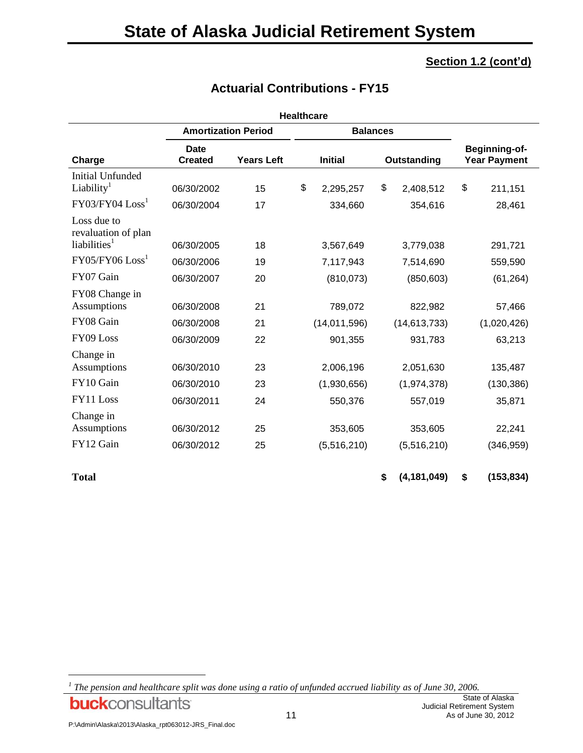|                                                       |                               |                            | <b>Healthcare</b>             |    |                                      |    |             |
|-------------------------------------------------------|-------------------------------|----------------------------|-------------------------------|----|--------------------------------------|----|-------------|
|                                                       |                               | <b>Amortization Period</b> | <b>Balances</b>               |    |                                      |    |             |
| Charge                                                | <b>Date</b><br><b>Created</b> | <b>Years Left</b>          | <b>Initial</b><br>Outstanding |    | Beginning-of-<br><b>Year Payment</b> |    |             |
| <b>Initial Unfunded</b><br>Liability <sup>1</sup>     | 06/30/2002                    | 15                         | \$<br>2,295,257               | \$ | 2,408,512                            | \$ | 211,151     |
| $FY03/FY04$ $Loss1$                                   | 06/30/2004                    | 17                         | 334,660                       |    | 354,616                              |    | 28,461      |
| Loss due to<br>revaluation of plan<br>liabilities $1$ | 06/30/2005                    | 18                         | 3,567,649                     |    | 3,779,038                            |    | 291,721     |
| $FY05/FY06$ $Loss1$                                   | 06/30/2006                    | 19                         | 7,117,943                     |    | 7,514,690                            |    | 559,590     |
| FY07 Gain                                             | 06/30/2007                    | 20                         | (810, 073)                    |    | (850, 603)                           |    | (61, 264)   |
| FY08 Change in<br>Assumptions                         | 06/30/2008                    | 21                         | 789,072                       |    | 822,982                              |    | 57,466      |
| FY08 Gain                                             | 06/30/2008                    | 21                         | (14,011,596)                  |    | (14, 613, 733)                       |    | (1,020,426) |
| FY09 Loss                                             | 06/30/2009                    | 22                         | 901,355                       |    | 931,783                              |    | 63,213      |
| Change in<br>Assumptions                              | 06/30/2010                    | 23                         | 2,006,196                     |    | 2,051,630                            |    | 135,487     |
| FY10 Gain                                             | 06/30/2010                    | 23                         | (1,930,656)                   |    | (1,974,378)                          |    | (130, 386)  |
| FY11 Loss                                             | 06/30/2011                    | 24                         | 550,376                       |    | 557,019                              |    | 35,871      |
| Change in<br>Assumptions                              | 06/30/2012                    | 25                         | 353,605                       |    | 353,605                              |    | 22,241      |
| FY12 Gain                                             | 06/30/2012                    | 25                         | (5,516,210)                   |    | (5,516,210)                          |    | (346, 959)  |
| <b>Total</b>                                          |                               |                            |                               | \$ | (4, 181, 049)                        | \$ | (153, 834)  |

## **Actuarial Contributions - FY15**

l

*<sup>1</sup> The pension and healthcare split was done using a ratio of unfunded accrued liability as of June 30, 2006.***buck**consultants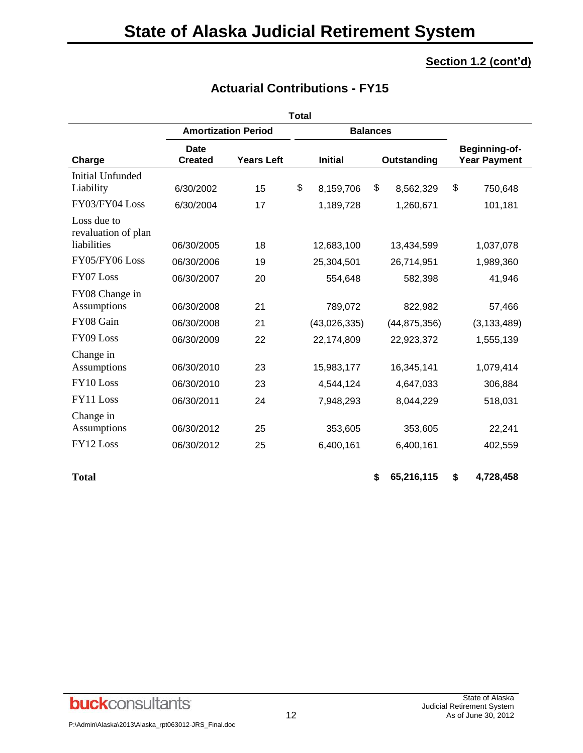|                                                   |                                               |                                | <b>Total</b> |                               |           |                                      |    |               |
|---------------------------------------------------|-----------------------------------------------|--------------------------------|--------------|-------------------------------|-----------|--------------------------------------|----|---------------|
|                                                   | <b>Amortization Period</b><br><b>Balances</b> |                                |              |                               |           |                                      |    |               |
| Charge                                            | Date<br><b>Created</b>                        | <b>Years Left</b>              |              | <b>Initial</b><br>Outstanding |           | Beginning-of-<br><b>Year Payment</b> |    |               |
| <b>Initial Unfunded</b><br>Liability              | 6/30/2002                                     | 15                             | \$           | 8,159,706                     | \$        | 8,562,329                            | \$ | 750,648       |
| FY03/FY04 Loss                                    | 6/30/2004                                     | 17                             |              | 1,189,728                     |           | 1,260,671                            |    | 101,181       |
| Loss due to<br>revaluation of plan<br>liabilities | 06/30/2005                                    | 18<br>12,683,100<br>13,434,599 |              |                               | 1,037,078 |                                      |    |               |
| FY05/FY06 Loss                                    | 06/30/2006                                    | 19                             |              | 25,304,501                    |           | 26,714,951                           |    | 1,989,360     |
| FY07 Loss                                         | 06/30/2007                                    | 20                             |              | 554,648                       |           | 582,398                              |    | 41,946        |
| FY08 Change in<br>Assumptions                     | 06/30/2008                                    | 21                             |              | 789,072                       |           | 822,982                              |    | 57,466        |
| FY08 Gain                                         | 06/30/2008                                    | 21                             |              | (43,026,335)                  |           | (44, 875, 356)                       |    | (3, 133, 489) |
| FY09 Loss                                         | 06/30/2009                                    | 22                             |              | 22,174,809                    |           | 22,923,372                           |    | 1,555,139     |
| Change in                                         |                                               |                                |              |                               |           |                                      |    |               |
| Assumptions                                       | 06/30/2010                                    | 23                             |              | 15,983,177                    |           | 16,345,141                           |    | 1,079,414     |
| FY10 Loss                                         | 06/30/2010                                    | 23                             |              | 4,544,124                     |           | 4,647,033                            |    | 306,884       |
| FY11 Loss                                         | 06/30/2011                                    | 24                             |              | 7,948,293                     |           | 8,044,229                            |    | 518,031       |
| Change in                                         |                                               |                                |              |                               |           |                                      |    |               |
| Assumptions                                       | 06/30/2012                                    | 25                             |              | 353,605                       |           | 353,605                              |    | 22,241        |
| FY12 Loss                                         | 06/30/2012                                    | 25                             |              | 6,400,161                     |           | 6,400,161                            |    | 402,559       |
| <b>Total</b>                                      |                                               |                                |              |                               | \$        | 65,216,115                           | \$ | 4,728,458     |

## **Actuarial Contributions - FY15**

**buck**consultants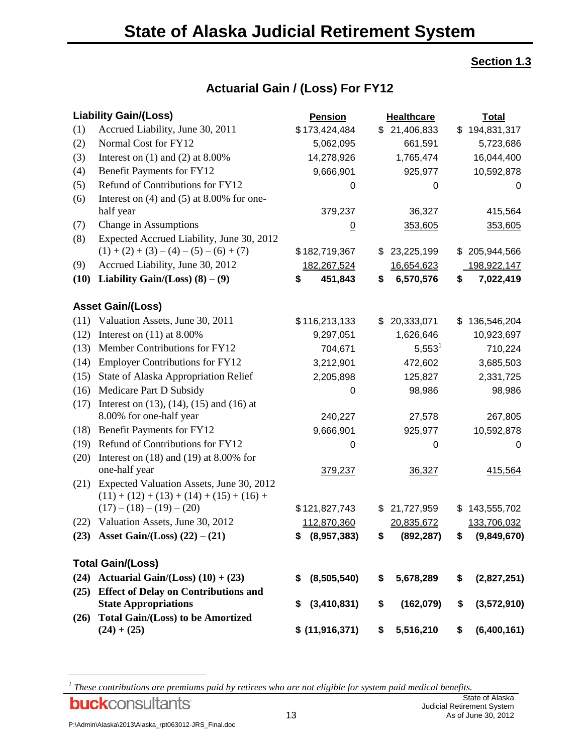#### **Section 1.3**

|      | <b>Liability Gain/(Loss)</b>                                                            | <b>Pension</b>    | <b>Healthcare</b> | <b>Total</b>                    |
|------|-----------------------------------------------------------------------------------------|-------------------|-------------------|---------------------------------|
| (1)  | Accrued Liability, June 30, 2011                                                        | \$173,424,484     | \$21,406,833      | 194,831,317<br>\$               |
| (2)  | Normal Cost for FY12                                                                    | 5,062,095         | 661,591           | 5,723,686                       |
| (3)  | Interest on $(1)$ and $(2)$ at 8.00%                                                    | 14,278,926        | 1,765,474         | 16,044,400                      |
| (4)  | <b>Benefit Payments for FY12</b>                                                        | 9,666,901         | 925,977           | 10,592,878                      |
| (5)  | Refund of Contributions for FY12                                                        | 0                 | 0                 | 0                               |
| (6)  | Interest on $(4)$ and $(5)$ at 8.00% for one-                                           |                   |                   |                                 |
|      | half year                                                                               | 379,237           | 36,327            | 415,564                         |
| (7)  | Change in Assumptions                                                                   | $\underline{0}$   | 353,605           | 353,605                         |
| (8)  | Expected Accrued Liability, June 30, 2012                                               |                   |                   |                                 |
|      | $(1) + (2) + (3) - (4) - (5) - (6) + (7)$                                               | \$182,719,367     | 23,225,199<br>\$  | 205,944,566<br>\$               |
| (9)  | Accrued Liability, June 30, 2012                                                        | 182,267,524       | 16,654,623        | 198,922,147                     |
| (10) | Liability Gain/(Loss) $(8) - (9)$                                                       | 451,843<br>\$     | 6,570,576<br>\$   | 7,022,419<br>\$                 |
|      | <b>Asset Gain/(Loss)</b>                                                                |                   |                   |                                 |
| (11) | Valuation Assets, June 30, 2011                                                         | \$116,213,133     | 20,333,071<br>\$  | 136,546,204<br>\$               |
| (12) | Interest on $(11)$ at 8.00%                                                             | 9,297,051         | 1,626,646         | 10,923,697                      |
| (13) | Member Contributions for FY12                                                           | 704,671           | $5,553^1$         | 710,224                         |
| (14) | <b>Employer Contributions for FY12</b>                                                  | 3,212,901         | 472,602           | 3,685,503                       |
| (15) | State of Alaska Appropriation Relief                                                    | 2,205,898         | 125,827           | 2,331,725                       |
| (16) | Medicare Part D Subsidy                                                                 | 0                 | 98,986            | 98,986                          |
| (17) | Interest on $(13)$ , $(14)$ , $(15)$ and $(16)$ at                                      |                   |                   |                                 |
|      | 8.00% for one-half year                                                                 | 240,227           | 27,578            | 267,805                         |
| (18) | Benefit Payments for FY12                                                               | 9,666,901         | 925,977           | 10,592,878                      |
| (19) | Refund of Contributions for FY12                                                        | 0                 | 0                 | 0                               |
| (20) | Interest on $(18)$ and $(19)$ at 8.00% for                                              |                   |                   |                                 |
|      | one-half year                                                                           | 379,237           | 36,327            | 415,564                         |
| (21) | Expected Valuation Assets, June 30, 2012<br>$(11) + (12) + (13) + (14) + (15) + (16) +$ |                   |                   |                                 |
|      | $(17) - (18) - (19) - (20)$                                                             | \$121,827,743     | 21,727,959<br>\$  | 143,555,702<br>\$               |
|      | (22) Valuation Assets, June 30, 2012                                                    | 112,870,360       | 20,835,672        | 133,706,032                     |
|      | (23) Asset Gain/(Loss) $(22) - (21)$                                                    | \$ (8,957,383)    | \$                | $(892, 287)$ \$ $(9, 849, 670)$ |
|      | <b>Total Gain/(Loss)</b>                                                                |                   |                   |                                 |
|      | (24) Actuarial Gain/(Loss) $(10) + (23)$                                                | (8,505,540)<br>\$ | 5,678,289<br>\$   | (2,827,251)<br>\$               |
|      | (25) Effect of Delay on Contributions and                                               |                   |                   |                                 |
|      | <b>State Appropriations</b>                                                             | (3,410,831)<br>\$ | (162,079)<br>\$   | (3,572,910)<br>\$               |
| (26) | <b>Total Gain/(Loss) to be Amortized</b>                                                |                   |                   |                                 |
|      | $(24) + (25)$                                                                           | \$ (11, 916, 371) | 5,516,210<br>\$   | (6,400,161)<br>\$               |

## **Actuarial Gain / (Loss) For FY12**

*1 These contributions are premiums paid by retirees who are not eligible for system paid medical benefits.*

l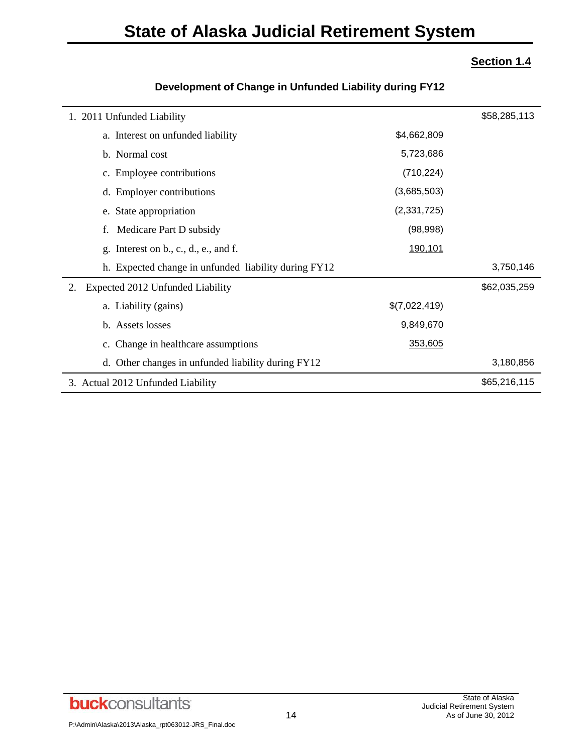## **State of Alaska Judicial Retirement System**

### **Section 1.4**

| 1. 2011 Unfunded Liability                           |               | \$58,285,113 |
|------------------------------------------------------|---------------|--------------|
| a. Interest on unfunded liability                    | \$4,662,809   |              |
| b. Normal cost                                       | 5,723,686     |              |
| c. Employee contributions                            | (710, 224)    |              |
| d. Employer contributions                            | (3,685,503)   |              |
| e. State appropriation                               | (2,331,725)   |              |
| Medicare Part D subsidy<br>f.                        | (98,998)      |              |
| Interest on b., c., d., e., and f.<br>g.             | 190,101       |              |
| h. Expected change in unfunded liability during FY12 |               | 3,750,146    |
| Expected 2012 Unfunded Liability                     |               | \$62,035,259 |
| a. Liability (gains)                                 | \$(7,022,419) |              |
| b. Assets losses                                     | 9,849,670     |              |
| c. Change in healthcare assumptions                  | 353,605       |              |
| d. Other changes in unfunded liability during FY12   |               | 3,180,856    |
| 3. Actual 2012 Unfunded Liability                    |               | \$65,216,115 |

#### **Development of Change in Unfunded Liability during FY12**

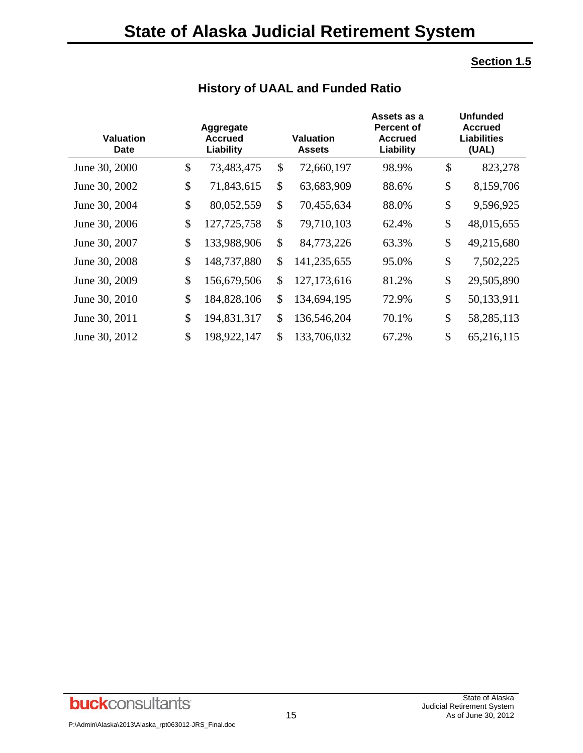## **Section 1.5**

| <b>Valuation</b><br><b>Date</b> | Aggregate<br><b>Accrued</b><br>Liability | <b>Valuation</b><br><b>Assets</b> | Assets as a<br><b>Percent of</b><br><b>Accrued</b><br>Liability | <b>Unfunded</b><br><b>Accrued</b><br><b>Liabilities</b><br>(UAL) |
|---------------------------------|------------------------------------------|-----------------------------------|-----------------------------------------------------------------|------------------------------------------------------------------|
| June 30, 2000                   | \$<br>73,483,475                         | \$<br>72,660,197                  | 98.9%                                                           | \$<br>823,278                                                    |
| June 30, 2002                   | \$<br>71,843,615                         | \$<br>63,683,909                  | 88.6%                                                           | \$<br>8,159,706                                                  |
| June 30, 2004                   | \$<br>80,052,559                         | \$<br>70,455,634                  | 88.0%                                                           | \$<br>9,596,925                                                  |
| June 30, 2006                   | \$<br>127,725,758                        | \$<br>79,710,103                  | 62.4%                                                           | \$<br>48,015,655                                                 |
| June 30, 2007                   | \$<br>133,988,906                        | \$<br>84,773,226                  | 63.3%                                                           | \$<br>49,215,680                                                 |
| June 30, 2008                   | \$<br>148,737,880                        | \$<br>141,235,655                 | 95.0%                                                           | \$<br>7,502,225                                                  |
| June 30, 2009                   | \$<br>156,679,506                        | \$<br>127, 173, 616               | 81.2%                                                           | \$<br>29,505,890                                                 |
| June 30, 2010                   | \$<br>184,828,106                        | \$<br>134,694,195                 | 72.9%                                                           | \$<br>50,133,911                                                 |
| June 30, 2011                   | \$<br>194,831,317                        | \$<br>136,546,204                 | 70.1%                                                           | \$<br>58,285,113                                                 |
| June 30, 2012                   | \$<br>198,922,147                        | \$<br>133,706,032                 | 67.2%                                                           | \$<br>65,216,115                                                 |

## **History of UAAL and Funded Ratio**

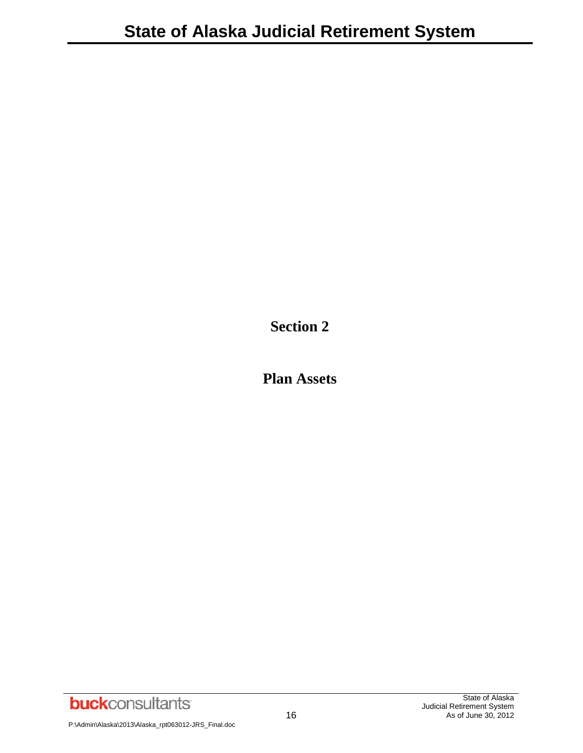**Section 2**

**Plan Assets**

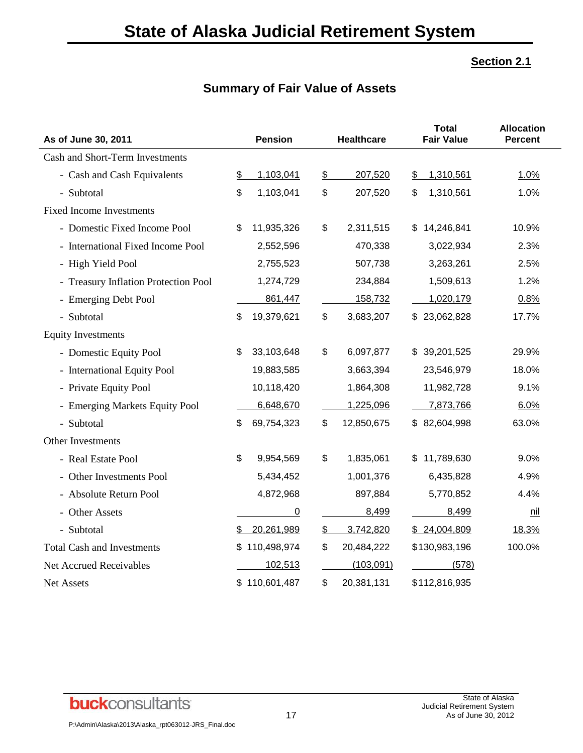## **Summary of Fair Value of Assets**

| As of June 30, 2011                  |                           | <b>Pension</b> |           | <b>Healthcare</b> | <b>Total</b><br><b>Fair Value</b> | <b>Allocation</b><br><b>Percent</b> |
|--------------------------------------|---------------------------|----------------|-----------|-------------------|-----------------------------------|-------------------------------------|
| Cash and Short-Term Investments      |                           |                |           |                   |                                   |                                     |
| - Cash and Cash Equivalents          | \$                        | 1,103,041      | <u>\$</u> | 207,520           | 1,310,561<br>\$                   | 1.0%                                |
| - Subtotal                           | \$                        | 1,103,041      | \$        | 207,520           | 1,310,561<br>\$                   | 1.0%                                |
| <b>Fixed Income Investments</b>      |                           |                |           |                   |                                   |                                     |
| - Domestic Fixed Income Pool         | \$                        | 11,935,326     | \$        | 2,311,515         | 14,246,841<br>\$                  | 10.9%                               |
| - International Fixed Income Pool    |                           | 2,552,596      |           | 470,338           | 3,022,934                         | 2.3%                                |
| - High Yield Pool                    |                           | 2,755,523      |           | 507,738           | 3,263,261                         | 2.5%                                |
| - Treasury Inflation Protection Pool |                           | 1,274,729      |           | 234,884           | 1,509,613                         | 1.2%                                |
| - Emerging Debt Pool                 |                           | 861,447        |           | 158,732           | 1,020,179                         | 0.8%                                |
| - Subtotal                           | \$                        | 19,379,621     | \$        | 3,683,207         | \$23,062,828                      | 17.7%                               |
| <b>Equity Investments</b>            |                           |                |           |                   |                                   |                                     |
| - Domestic Equity Pool               | \$                        | 33,103,648     | \$        | 6,097,877         | 39,201,525<br>\$                  | 29.9%                               |
| - International Equity Pool          |                           | 19,883,585     |           | 3,663,394         | 23,546,979                        | 18.0%                               |
| - Private Equity Pool                |                           | 10,118,420     |           | 1,864,308         | 11,982,728                        | 9.1%                                |
| - Emerging Markets Equity Pool       |                           | 6,648,670      |           | 1,225,096         | 7,873,766                         | 6.0%                                |
| - Subtotal                           | \$                        | 69,754,323     | \$        | 12,850,675        | \$82,604,998                      | 63.0%                               |
| Other Investments                    |                           |                |           |                   |                                   |                                     |
| - Real Estate Pool                   | $\boldsymbol{\mathsf{S}}$ | 9,954,569      | \$        | 1,835,061         | \$11,789,630                      | 9.0%                                |
| - Other Investments Pool             |                           | 5,434,452      |           | 1,001,376         | 6,435,828                         | 4.9%                                |
| - Absolute Return Pool               |                           | 4,872,968      |           | 897,884           | 5,770,852                         | 4.4%                                |
| - Other Assets                       |                           | $\overline{0}$ |           | 8,499             | 8,499                             | <u>nil</u>                          |
| - Subtotal                           | \$                        | 20,261,989     | \$        | 3,742,820         | \$24,004,809                      | 18.3%                               |
| <b>Total Cash and Investments</b>    |                           | 110,498,974    | \$        | 20,484,222        | \$130,983,196                     | 100.0%                              |
| <b>Net Accrued Receivables</b>       |                           | 102,513        |           | (103, 091)        | (578)                             |                                     |
| Net Assets                           |                           | \$110,601,487  | \$        | 20,381,131        | \$112,816,935                     |                                     |

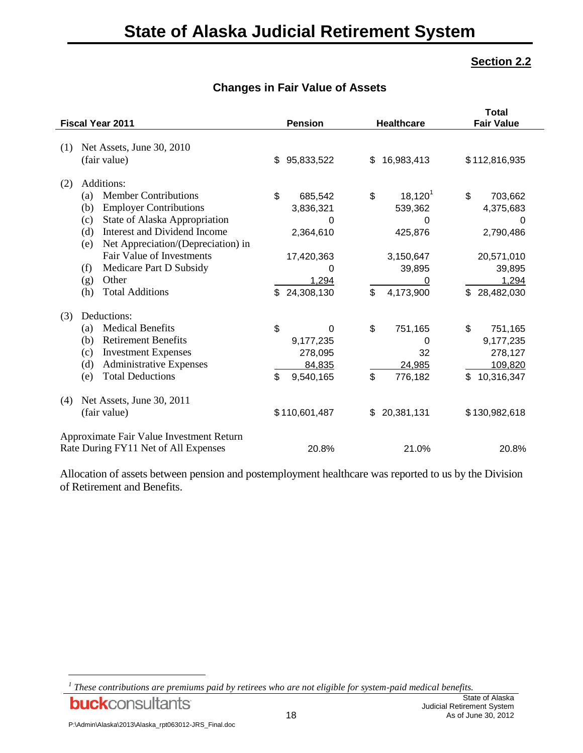|     | Fiscal Year 2011                          | <b>Pension</b>   |     | <b>Healthcare</b> | <b>Total</b><br><b>Fair Value</b> |
|-----|-------------------------------------------|------------------|-----|-------------------|-----------------------------------|
|     |                                           |                  |     |                   |                                   |
| (1) | Net Assets, June 30, 2010                 |                  |     |                   |                                   |
|     | (fair value)                              | \$<br>95,833,522 | \$. | 16,983,413        | \$112,816,935                     |
| (2) | Additions:                                |                  |     |                   |                                   |
|     | <b>Member Contributions</b><br>(a)        | \$<br>685,542    | \$  | $18,120^{1}$      | \$<br>703,662                     |
|     | <b>Employer Contributions</b><br>(b)      | 3,836,321        |     | 539,362           | 4,375,683                         |
|     | State of Alaska Appropriation<br>(c)      | 0                |     | 0                 | 0                                 |
|     | Interest and Dividend Income<br>(d)       | 2,364,610        |     | 425,876           | 2,790,486                         |
|     | Net Appreciation/(Depreciation) in<br>(e) |                  |     |                   |                                   |
|     | Fair Value of Investments                 | 17,420,363       |     | 3,150,647         | 20,571,010                        |
|     | Medicare Part D Subsidy<br>(f)            | 0                |     | 39,895            | 39,895                            |
|     | Other<br>(g)                              | 1,294            |     |                   | 1,294                             |
|     | <b>Total Additions</b><br>(h)             | \$<br>24,308,130 | \$  | 4,173,900         | \$<br>28,482,030                  |
| (3) | Deductions:                               |                  |     |                   |                                   |
|     | <b>Medical Benefits</b><br>(a)            | \$<br>0          | \$  | 751,165           | \$<br>751,165                     |
|     | <b>Retirement Benefits</b><br>(b)         | 9,177,235        |     | 0                 | 9,177,235                         |
|     | <b>Investment Expenses</b><br>(c)         | 278,095          |     | 32                | 278,127                           |
|     | <b>Administrative Expenses</b><br>(d)     | 84,835           |     | 24,985            | 109,820                           |
|     | <b>Total Deductions</b><br>(e)            | \$<br>9,540,165  | \$  | 776,182           | \$<br>10,316,347                  |
| (4) | Net Assets, June 30, 2011                 |                  |     |                   |                                   |
|     | (fair value)                              | \$110,601,487    | \$  | 20,381,131        | \$130,982,618                     |
|     | Approximate Fair Value Investment Return  |                  |     |                   |                                   |
|     | Rate During FY11 Net of All Expenses      | 20.8%            |     | 21.0%             | 20.8%                             |

#### **Changes in Fair Value of Assets**

Allocation of assets between pension and postemployment healthcare was reported to us by the Division of Retirement and Benefits.

**buck**consultants

l

*<sup>1</sup> These contributions are premiums paid by retirees who are not eligible for system-paid medical benefits.*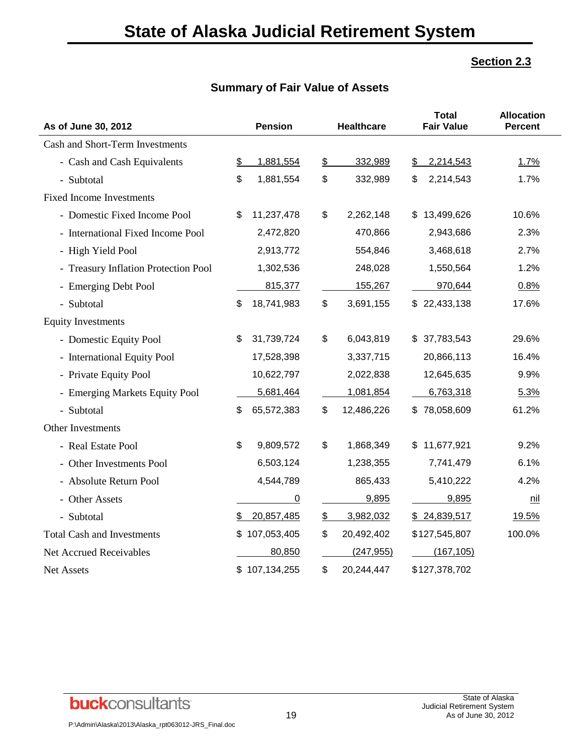## **Summary of Fair Value of Assets**

| As of June 30, 2012                  | <b>Pension</b>    |               | <b>Healthcare</b> |     | <b>Total</b><br><b>Fair Value</b> | <b>Allocation</b><br><b>Percent</b> |
|--------------------------------------|-------------------|---------------|-------------------|-----|-----------------------------------|-------------------------------------|
| Cash and Short-Term Investments      |                   |               |                   |     |                                   |                                     |
| - Cash and Cash Equivalents          | \$<br>1,881,554   | $\frac{2}{2}$ | 332,989           | \$  | 2,214,543                         | 1.7%                                |
| - Subtotal                           | \$<br>1,881,554   | \$            | 332,989           | \$  | 2,214,543                         | 1.7%                                |
| <b>Fixed Income Investments</b>      |                   |               |                   |     |                                   |                                     |
| - Domestic Fixed Income Pool         | \$<br>11,237,478  | \$            | 2,262,148         | \$. | 13,499,626                        | 10.6%                               |
| - International Fixed Income Pool    | 2,472,820         |               | 470,866           |     | 2,943,686                         | 2.3%                                |
| - High Yield Pool                    | 2,913,772         |               | 554,846           |     | 3,468,618                         | 2.7%                                |
| - Treasury Inflation Protection Pool | 1,302,536         |               | 248,028           |     | 1,550,564                         | 1.2%                                |
| - Emerging Debt Pool                 | 815,377           |               | 155,267           |     | 970,644                           | 0.8%                                |
| - Subtotal                           | \$<br>18,741,983  | \$            | 3,691,155         |     | \$22,433,138                      | 17.6%                               |
| <b>Equity Investments</b>            |                   |               |                   |     |                                   |                                     |
| - Domestic Equity Pool               | \$<br>31,739,724  | \$            | 6,043,819         |     | \$37,783,543                      | 29.6%                               |
| - International Equity Pool          | 17,528,398        |               | 3,337,715         |     | 20,866,113                        | 16.4%                               |
| - Private Equity Pool                | 10,622,797        |               | 2,022,838         |     | 12,645,635                        | 9.9%                                |
| - Emerging Markets Equity Pool       | 5,681,464         |               | 1,081,854         |     | 6,763,318                         | 5.3%                                |
| - Subtotal                           | \$<br>65,572,383  | \$            | 12,486,226        |     | \$78,058,609                      | 61.2%                               |
| Other Investments                    |                   |               |                   |     |                                   |                                     |
| - Real Estate Pool                   | \$<br>9,809,572   | \$            | 1,868,349         | S.  | 11,677,921                        | 9.2%                                |
| - Other Investments Pool             | 6,503,124         |               | 1,238,355         |     | 7,741,479                         | 6.1%                                |
| - Absolute Return Pool               | 4,544,789         |               | 865,433           |     | 5,410,222                         | 4.2%                                |
| - Other Assets                       | 0                 |               | 9,895             |     | 9,895                             | <u>nil</u>                          |
| - Subtotal                           | \$<br>20,857,485  | $\frac{2}{2}$ | 3,982,032         |     | \$24,839,517                      | 19.5%                               |
| <b>Total Cash and Investments</b>    | \$<br>107,053,405 | \$            | 20,492,402        |     | \$127,545,807                     | 100.0%                              |
| Net Accrued Receivables              | 80,850            |               | (247, 955)        |     | (167, 105)                        |                                     |
| <b>Net Assets</b>                    | \$107,134,255     | \$            | 20,244,447        |     | \$127,378,702                     |                                     |



 $\overline{a}$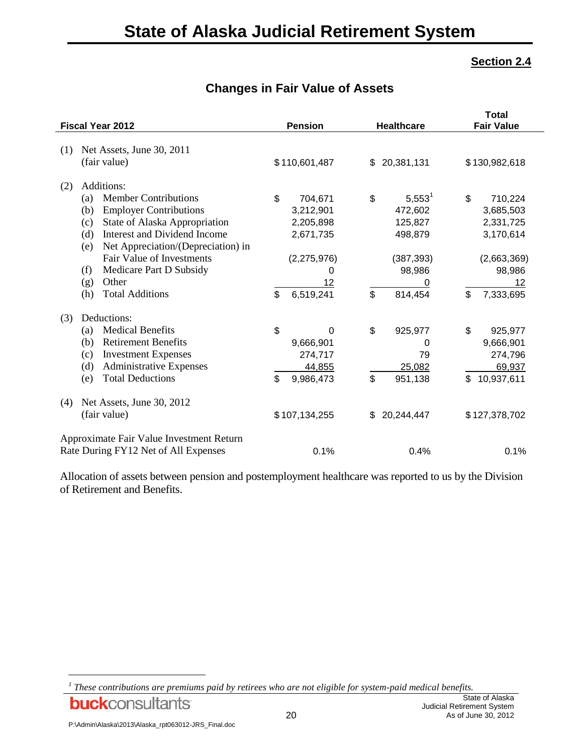| Fiscal Year 2012                          | <b>Pension</b>    | <b>Healthcare</b> | <b>Total</b><br><b>Fair Value</b> |
|-------------------------------------------|-------------------|-------------------|-----------------------------------|
| Net Assets, June 30, 2011<br>(1)          |                   |                   |                                   |
| (fair value)                              | \$110,601,487     | 20,381,131<br>\$  | \$130,982,618                     |
| Additions:<br>(2)                         |                   |                   |                                   |
| <b>Member Contributions</b><br>(a)        | \$<br>704,671     | \$<br>$5,553^1$   | \$<br>710,224                     |
| <b>Employer Contributions</b><br>(b)      | 3,212,901         | 472,602           | 3,685,503                         |
| State of Alaska Appropriation<br>(c)      | 2,205,898         | 125,827           | 2,331,725                         |
| Interest and Dividend Income<br>(d)       | 2,671,735         | 498,879           | 3,170,614                         |
| Net Appreciation/(Depreciation) in<br>(e) |                   |                   |                                   |
| Fair Value of Investments                 | (2,275,976)       | (387, 393)        | (2,663,369)                       |
| Medicare Part D Subsidy<br>(f)            | 0                 | 98,986            | 98,986                            |
| Other<br>(g)                              | 12                | 0                 | 12                                |
| <b>Total Additions</b><br>(h)             | \$<br>6,519,241   | \$<br>814,454     | \$<br>7,333,695                   |
| Deductions:<br>(3)                        |                   |                   |                                   |
| <b>Medical Benefits</b><br>(a)            | \$<br>$\mathbf 0$ | \$<br>925,977     | \$<br>925,977                     |
| <b>Retirement Benefits</b><br>(b)         | 9,666,901         | 0                 | 9,666,901                         |
| <b>Investment Expenses</b><br>(c)         | 274,717           | 79                | 274,796                           |
| (d)<br><b>Administrative Expenses</b>     | 44,855            | 25,082            | 69,937                            |
| <b>Total Deductions</b><br>(e)            | \$<br>9,986,473   | \$<br>951,138     | 10,937,611<br>\$                  |
| Net Assets, June 30, 2012<br>(4)          |                   |                   |                                   |
| (fair value)                              | \$107,134,255     | 20,244,447<br>\$  | \$127,378,702                     |
| Approximate Fair Value Investment Return  |                   |                   |                                   |
| Rate During FY12 Net of All Expenses      | 0.1%              | 0.4%              | 0.1%                              |

## **Changes in Fair Value of Assets**

Allocation of assets between pension and postemployment healthcare was reported to us by the Division of Retirement and Benefits.

**buck**consultants

l

*<sup>1</sup> These contributions are premiums paid by retirees who are not eligible for system-paid medical benefits.*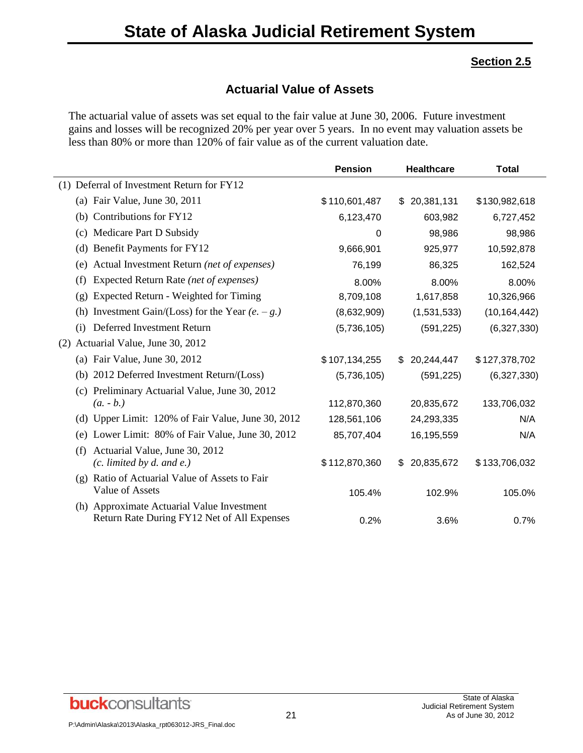## **Actuarial Value of Assets**

The actuarial value of assets was set equal to the fair value at June 30, 2006. Future investment gains and losses will be recognized 20% per year over 5 years. In no event may valuation assets be less than 80% or more than 120% of fair value as of the current valuation date.

|                                                        | <b>Pension</b> | <b>Healthcare</b> | <b>Total</b>   |
|--------------------------------------------------------|----------------|-------------------|----------------|
| (1) Deferral of Investment Return for FY12             |                |                   |                |
| (a) Fair Value, June 30, 2011                          | \$110,601,487  | \$20,381,131      | \$130,982,618  |
| Contributions for FY12<br>(b)                          | 6,123,470      | 603,982           | 6,727,452      |
| Medicare Part D Subsidy<br>(c)                         | 0              | 98,986            | 98,986         |
| Benefit Payments for FY12<br>(d)                       | 9,666,901      | 925,977           | 10,592,878     |
| Actual Investment Return (net of expenses)<br>(e)      | 76,199         | 86,325            | 162,524        |
| Expected Return Rate (net of expenses)<br>(f)          | 8.00%          | 8.00%             | 8.00%          |
| Expected Return - Weighted for Timing<br>(g)           | 8,709,108      | 1,617,858         | 10,326,966     |
| Investment Gain/(Loss) for the Year $(e. - g.)$<br>(h) | (8,632,909)    | (1,531,533)       | (10, 164, 442) |
| Deferred Investment Return<br>(i)                      | (5,736,105)    | (591, 225)        | (6,327,330)    |
| Actuarial Value, June 30, 2012<br>(2)                  |                |                   |                |
| (a) Fair Value, June 30, 2012                          | \$107,134,255  | \$20,244,447      | \$127,378,702  |
| 2012 Deferred Investment Return/(Loss)<br>(b)          | (5,736,105)    | (591, 225)        | (6,327,330)    |
| (c) Preliminary Actuarial Value, June 30, 2012         |                |                   |                |
| $(a. - b.)$                                            | 112,870,360    | 20,835,672        | 133,706,032    |
| (d) Upper Limit: 120% of Fair Value, June 30, 2012     | 128,561,106    | 24,293,335        | N/A            |
| Lower Limit: 80% of Fair Value, June 30, 2012<br>(e)   | 85,707,404     | 16,195,559        | N/A            |
| Actuarial Value, June 30, 2012<br>(f)                  |                |                   |                |
| $(c.$ limited by d. and e.)                            | \$112,870,360  | 20,835,672<br>\$  | \$133,706,032  |
| Ratio of Actuarial Value of Assets to Fair<br>(g)      |                |                   |                |
| Value of Assets                                        | 105.4%         | 102.9%            | 105.0%         |
| (h) Approximate Actuarial Value Investment             |                |                   |                |
| Return Rate During FY12 Net of All Expenses            | 0.2%           | 3.6%              | 0.7%           |

**buck**consultants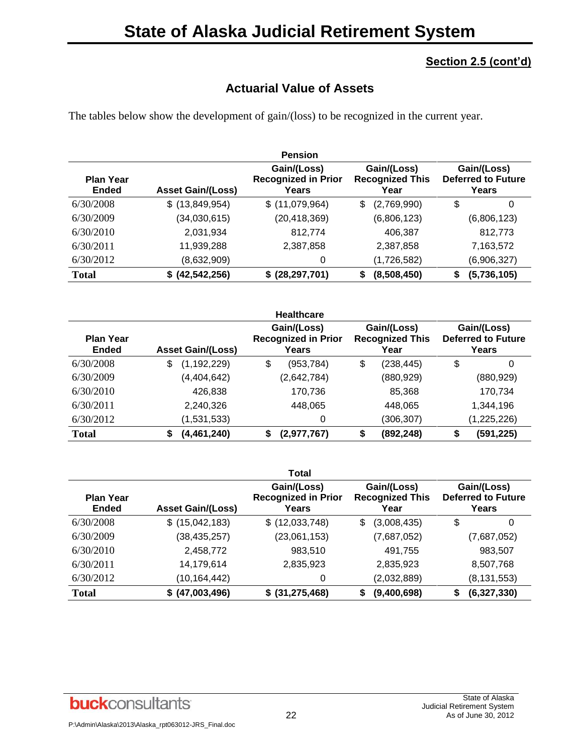## **Section 2.5 (cont'd)**

## **Actuarial Value of Assets**

The tables below show the development of gain/(loss) to be recognized in the current year.

|                                  |                          | <b>Pension</b>                                     |                                               |                                                   |
|----------------------------------|--------------------------|----------------------------------------------------|-----------------------------------------------|---------------------------------------------------|
| <b>Plan Year</b><br><b>Ended</b> | <b>Asset Gain/(Loss)</b> | Gain/(Loss)<br><b>Recognized in Prior</b><br>Years | Gain/(Loss)<br><b>Recognized This</b><br>Year | Gain/(Loss)<br><b>Deferred to Future</b><br>Years |
| 6/30/2008                        | $$$ (13,849,954)         | \$(11,079,964)                                     | (2,769,990)<br>\$                             | \$<br>0                                           |
| 6/30/2009                        | (34,030,615)             | (20, 418, 369)                                     | (6,806,123)                                   | (6,806,123)                                       |
| 6/30/2010                        | 2,031,934                | 812,774                                            | 406,387                                       | 812,773                                           |
| 6/30/2011                        | 11,939,288               | 2,387,858                                          | 2,387,858                                     | 7,163,572                                         |
| 6/30/2012                        | (8,632,909)              | 0                                                  | (1,726,582)                                   | (6,906,327)                                       |
| <b>Total</b>                     | \$ (42, 542, 256)        | \$ (28, 297, 701)                                  | (8,508,450)<br>\$                             | (5,736,105)<br>\$                                 |

|                                  |                          | <b>Healthcare</b>                                  |                                               |                                                   |
|----------------------------------|--------------------------|----------------------------------------------------|-----------------------------------------------|---------------------------------------------------|
| <b>Plan Year</b><br><b>Ended</b> | <b>Asset Gain/(Loss)</b> | Gain/(Loss)<br><b>Recognized in Prior</b><br>Years | Gain/(Loss)<br><b>Recognized This</b><br>Year | Gain/(Loss)<br><b>Deferred to Future</b><br>Years |
| 6/30/2008                        | (1, 192, 229)<br>\$      | \$<br>(953, 784)                                   | \$<br>(238, 445)                              | \$<br>0                                           |
| 6/30/2009                        | (4, 404, 642)            | (2,642,784)                                        | (880, 929)                                    | (880, 929)                                        |
| 6/30/2010                        | 426,838                  | 170,736                                            | 85,368                                        | 170,734                                           |
| 6/30/2011                        | 2,240,326                | 448,065                                            | 448,065                                       | 1,344,196                                         |
| 6/30/2012                        | (1,531,533)              | 0                                                  | (306,307)                                     | (1,225,226)                                       |
| <b>Total</b>                     | (4, 461, 240)<br>\$      | (2,977,767)<br>S                                   | (892, 248)<br>S                               | (591, 225)<br>S                                   |

|                                  |                          | <b>Total</b>                                       |                                               |                                                   |
|----------------------------------|--------------------------|----------------------------------------------------|-----------------------------------------------|---------------------------------------------------|
| <b>Plan Year</b><br><b>Ended</b> | <b>Asset Gain/(Loss)</b> | Gain/(Loss)<br><b>Recognized in Prior</b><br>Years | Gain/(Loss)<br><b>Recognized This</b><br>Year | Gain/(Loss)<br><b>Deferred to Future</b><br>Years |
| 6/30/2008                        | \$(15,042,183)           | \$ (12,033,748)                                    | (3,008,435)<br>\$                             | \$<br>0                                           |
| 6/30/2009                        | (38, 435, 257)           | (23,061,153)                                       | (7,687,052)                                   | (7,687,052)                                       |
| 6/30/2010                        | 2,458,772                | 983,510                                            | 491,755                                       | 983,507                                           |
| 6/30/2011                        | 14,179,614               | 2,835,923                                          | 2,835,923                                     | 8,507,768                                         |
| 6/30/2012                        | (10,164,442)             | 0                                                  | (2,032,889)                                   | (8, 131, 553)                                     |
| <b>Total</b>                     | \$ (47,003,496)          | \$ (31, 275, 468)                                  | (9,400,698)                                   | (6,327,330)<br>S                                  |

## **buck**consultants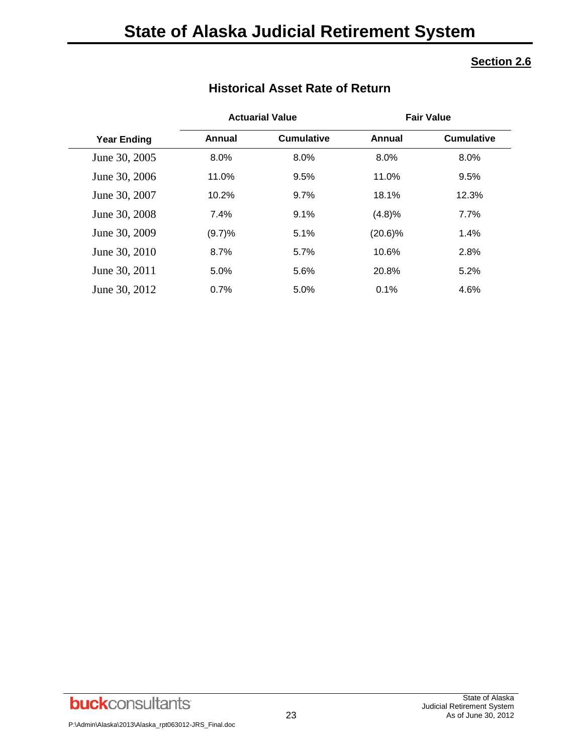|                    |        | <b>Actuarial Value</b> | <b>Fair Value</b> |                   |  |
|--------------------|--------|------------------------|-------------------|-------------------|--|
| <b>Year Ending</b> | Annual | <b>Cumulative</b>      | Annual            | <b>Cumulative</b> |  |
| June 30, 2005      | 8.0%   | 8.0%                   | 8.0%              | 8.0%              |  |
| June 30, 2006      | 11.0%  | 9.5%                   | 11.0%             | 9.5%              |  |
| June 30, 2007      | 10.2%  | 9.7%                   | 18.1%             | 12.3%             |  |
| June 30, 2008      | 7.4%   | 9.1%                   | (4.8)%            | 7.7%              |  |
| June 30, 2009      | (9.7)% | 5.1%                   | $(20.6)\%$        | 1.4%              |  |
| June 30, 2010      | 8.7%   | 5.7%                   | 10.6%             | 2.8%              |  |
| June 30, 2011      | 5.0%   | 5.6%                   | 20.8%             | 5.2%              |  |
| June 30, 2012      | 0.7%   | 5.0%                   | 0.1%              | 4.6%              |  |

## **Historical Asset Rate of Return**

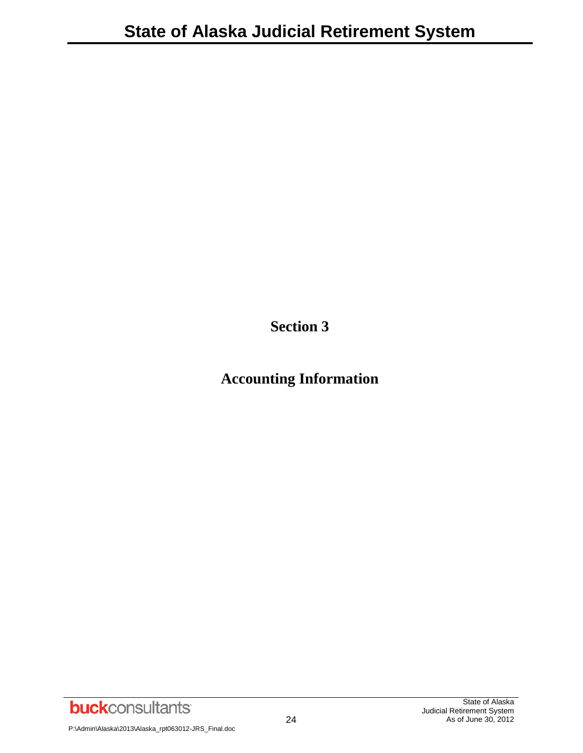**Section 3**

## **Accounting Information**

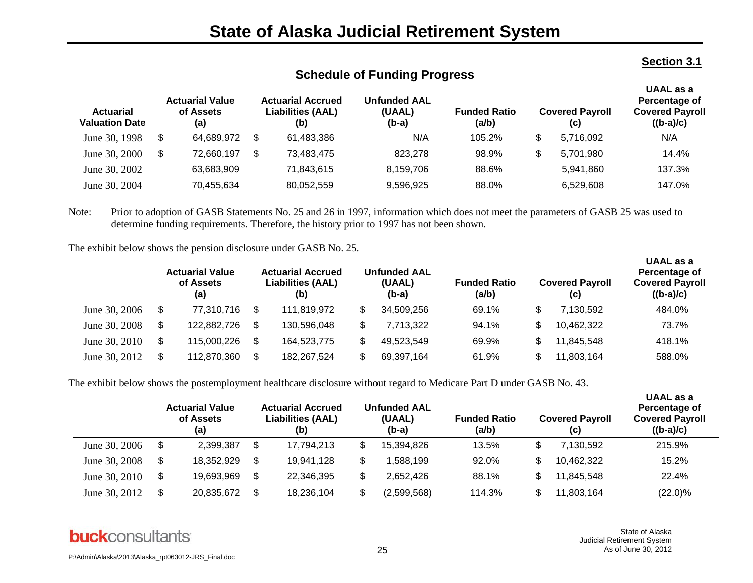#### **Section 3.1**

**UAAL as a** 

**UAAL as a** 

| <b>Actuarial</b><br><b>Valuation Date</b> | <b>Actuarial Value</b><br>of Assets<br>(a) |   | <b>Actuarial Accrued</b><br><b>Liabilities (AAL)</b><br>(b) | <b>Unfunded AAL</b><br>(UAAL)<br>(b-a) | <b>Funded Ratio</b><br>(a/b) |     | <b>Covered Payroll</b><br>(c) | UAAL as a<br>Percentage of<br><b>Covered Payroll</b><br>$((b-a)/c)$ |
|-------------------------------------------|--------------------------------------------|---|-------------------------------------------------------------|----------------------------------------|------------------------------|-----|-------------------------------|---------------------------------------------------------------------|
| June 30, 1998                             | \$<br>64.689.972                           | S | 61.483.386                                                  | N/A                                    | 105.2%                       | \$. | 5.716.092                     | N/A                                                                 |
| June 30, 2000                             | \$<br>72,660,197                           | S | 73.483.475                                                  | 823.278                                | 98.9%                        | \$  | 5,701,980                     | 14.4%                                                               |
| June 30, 2002                             | 63,683,909                                 |   | 71.843.615                                                  | 8,159,706                              | 88.6%                        |     | 5,941,860                     | 137.3%                                                              |
| June 30, 2004                             | 70,455,634                                 |   | 80,052,559                                                  | 9,596,925                              | 88.0%                        |     | 6,529,608                     | 147.0%                                                              |

## **Schedule of Funding Progress**

Note: Prior to adoption of GASB Statements No. 25 and 26 in 1997, information which does not meet the parameters of GASB 25 was used to determine funding requirements. Therefore, the history prior to 1997 has not been shown.

The exhibit below shows the pension disclosure under GASB No. 25.

|               | <b>Actuarial Value</b><br>of Assets<br>(a) |             | <b>Actuarial Accrued</b><br><b>Liabilities (AAL)</b><br>(b) |  | <b>Unfunded AAL</b><br>(UAAL)<br>(b-a) | <b>Funded Ratio</b><br>(a/b) | <b>Covered Payroll</b><br>(c) | onne uo u<br>Percentage of<br><b>Covered Payroll</b><br>$((b-a)/c)$ |
|---------------|--------------------------------------------|-------------|-------------------------------------------------------------|--|----------------------------------------|------------------------------|-------------------------------|---------------------------------------------------------------------|
| June 30, 2006 |                                            | 77,310,716  | 111.819.972                                                 |  | 34,509,256                             | 69.1%                        | 7,130,592                     | 484.0%                                                              |
| June 30, 2008 |                                            | 122,882,726 | 130,596,048                                                 |  | 7,713,322                              | 94.1%                        | 10,462,322                    | 73.7%                                                               |
| June 30, 2010 |                                            | 115,000,226 | 164.523.775                                                 |  | 49,523,549                             | 69.9%                        | 11,845,548                    | 418.1%                                                              |
| June 30, 2012 |                                            | 112,870,360 | 182.267.524                                                 |  | 69,397,164                             | 61.9%                        | 11,803,164                    | 588.0%                                                              |

The exhibit below shows the postemployment healthcare disclosure without regard to Medicare Part D under GASB No. 43.

|               | <b>Actuarial Value</b><br>of Assets<br>(a) |    | <b>Actuarial Accrued</b><br><b>Liabilities (AAL)</b><br>(b) | <b>Unfunded AAL</b><br>(UAAL)<br>(b-a) | <b>Funded Ratio</b><br>(a/b) | <b>Covered Payroll</b><br>(c) | UAAL as a<br>Percentage of<br><b>Covered Payroll</b><br>$((b-a)/c)$ |
|---------------|--------------------------------------------|----|-------------------------------------------------------------|----------------------------------------|------------------------------|-------------------------------|---------------------------------------------------------------------|
| June 30, 2006 | \$<br>2,399,387                            | \$ | 17,794,213                                                  | 15,394,826                             | 13.5%                        | \$<br>7.130.592               | 215.9%                                                              |
| June 30, 2008 | \$<br>18,352,929                           | S  | 19,941,128                                                  | .588,199                               | 92.0%                        | 10,462,322                    | 15.2%                                                               |
| June 30, 2010 | \$<br>19,693,969                           | \$ | 22,346,395                                                  | 2.652.426                              | 88.1%                        | 11,845,548                    | 22.4%                                                               |
| June 30, 2012 | \$<br>20,835,672                           | \$ | 18,236,104                                                  | (2,599,568)                            | 114.3%                       | 11,803,164                    | $(22.0)\%$                                                          |

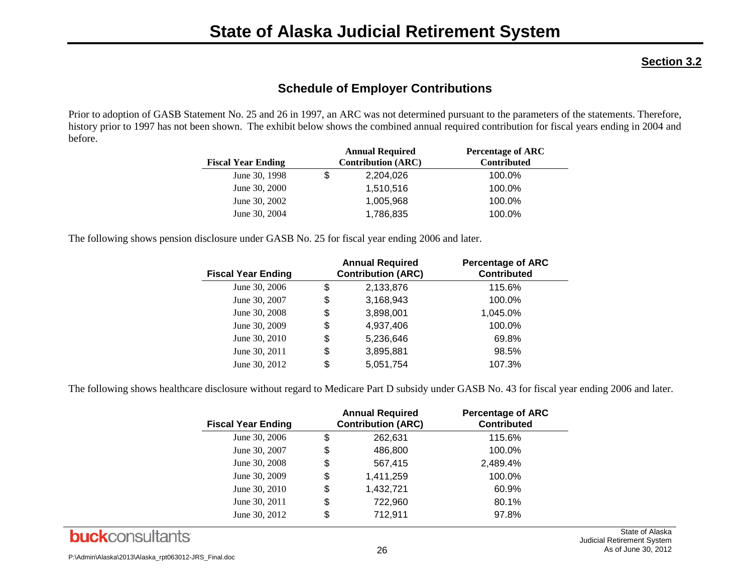#### **Section 3.2**

## **Schedule of Employer Contributions**

Prior to adoption of GASB Statement No. 25 and 26 in 1997, an ARC was not determined pursuant to the parameters of the statements. Therefore, history prior to 1997 has not been shown. The exhibit below shows the combined annual required contribution for fiscal years ending in 2004 and before.

| <b>Fiscal Year Ending</b> |   | <b>Annual Required</b><br><b>Contribution (ARC)</b> | <b>Percentage of ARC</b><br><b>Contributed</b> |
|---------------------------|---|-----------------------------------------------------|------------------------------------------------|
| June 30, 1998             | S | 2,204,026                                           | 100.0%                                         |
| June 30, 2000             |   | 1,510,516                                           | 100.0%                                         |
| June 30, 2002             |   | 1,005,968                                           | 100.0%                                         |
| June 30, 2004             |   | 1,786,835                                           | 100.0%                                         |

The following shows pension disclosure under GASB No. 25 for fiscal year ending 2006 and later.

| <b>Fiscal Year Ending</b> | <b>Annual Required</b><br><b>Contribution (ARC)</b> | <b>Percentage of ARC</b><br><b>Contributed</b> |
|---------------------------|-----------------------------------------------------|------------------------------------------------|
| June 30, 2006             | \$<br>2,133,876                                     | 115.6%                                         |
| June 30, 2007             | \$<br>3,168,943                                     | 100.0%                                         |
| June 30, 2008             | \$<br>3,898,001                                     | 1,045.0%                                       |
| June 30, 2009             | \$<br>4,937,406                                     | 100.0%                                         |
| June 30, 2010             | \$<br>5,236,646                                     | 69.8%                                          |
| June 30, 2011             | \$<br>3,895,881                                     | 98.5%                                          |
| June 30, 2012             | \$<br>5,051,754                                     | 107.3%                                         |

The following shows healthcare disclosure without regard to Medicare Part D subsidy under GASB No. 43 for fiscal year ending 2006 and later.

| <b>Fiscal Year Ending</b> | <b>Annual Required</b><br><b>Contribution (ARC)</b> | <b>Percentage of ARC</b><br><b>Contributed</b> |
|---------------------------|-----------------------------------------------------|------------------------------------------------|
| June 30, 2006             | \$<br>262,631                                       | 115.6%                                         |
| June 30, 2007             | \$<br>486,800                                       | 100.0%                                         |
| June 30, 2008             | \$<br>567,415                                       | 2,489.4%                                       |
| June 30, 2009             | \$<br>1,411,259                                     | 100.0%                                         |
| June 30, 2010             | \$<br>1,432,721                                     | 60.9%                                          |
| June 30, 2011             | \$<br>722,960                                       | 80.1%                                          |
| June 30, 2012             | \$<br>712,911                                       | 97.8%                                          |

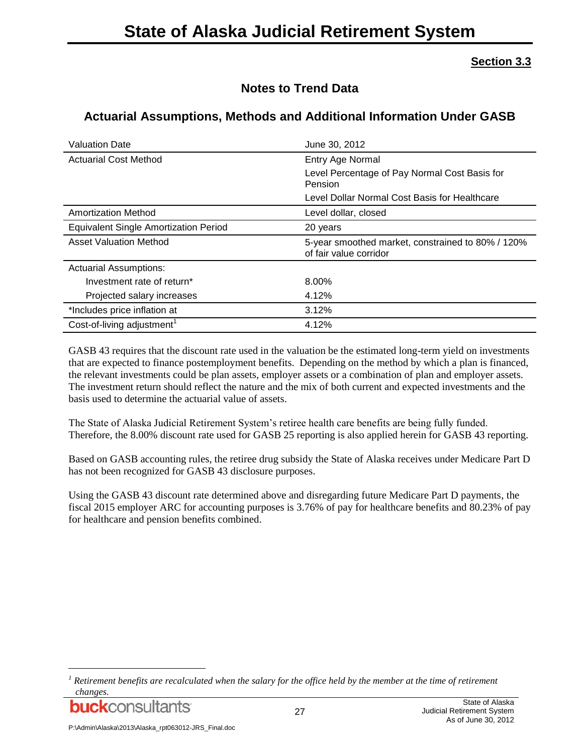#### **Section 3.3**

## **Notes to Trend Data**

## **Actuarial Assumptions, Methods and Additional Information Under GASB**

| <b>Valuation Date</b>                        | June 30, 2012                                                               |
|----------------------------------------------|-----------------------------------------------------------------------------|
| <b>Actuarial Cost Method</b>                 | Entry Age Normal                                                            |
|                                              | Level Percentage of Pay Normal Cost Basis for<br>Pension                    |
|                                              | Level Dollar Normal Cost Basis for Healthcare                               |
| <b>Amortization Method</b>                   | Level dollar, closed                                                        |
| <b>Equivalent Single Amortization Period</b> | 20 years                                                                    |
| <b>Asset Valuation Method</b>                | 5-year smoothed market, constrained to 80% / 120%<br>of fair value corridor |
| <b>Actuarial Assumptions:</b>                |                                                                             |
| Investment rate of return*                   | 8.00%                                                                       |
| Projected salary increases                   | 4.12%                                                                       |
| *Includes price inflation at                 | 3.12%                                                                       |
| Cost-of-living adjustment <sup>1</sup>       | 4.12%                                                                       |

GASB 43 requires that the discount rate used in the valuation be the estimated long-term yield on investments that are expected to finance postemployment benefits. Depending on the method by which a plan is financed, the relevant investments could be plan assets, employer assets or a combination of plan and employer assets. The investment return should reflect the nature and the mix of both current and expected investments and the basis used to determine the actuarial value of assets.

The State of Alaska Judicial Retirement System's retiree health care benefits are being fully funded. Therefore, the 8.00% discount rate used for GASB 25 reporting is also applied herein for GASB 43 reporting.

Based on GASB accounting rules, the retiree drug subsidy the State of Alaska receives under Medicare Part D has not been recognized for GASB 43 disclosure purposes.

Using the GASB 43 discount rate determined above and disregarding future Medicare Part D payments, the fiscal 2015 employer ARC for accounting purposes is 3.76% of pay for healthcare benefits and 80.23% of pay for healthcare and pension benefits combined.

*<sup>1</sup> Retirement benefits are recalculated when the salary for the office held by the member at the time of retirement changes.*



l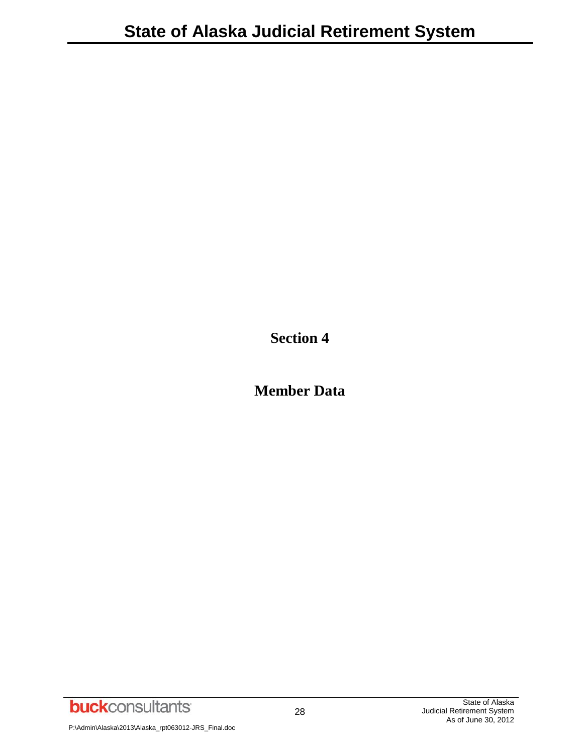**Section 4**

**Member Data**

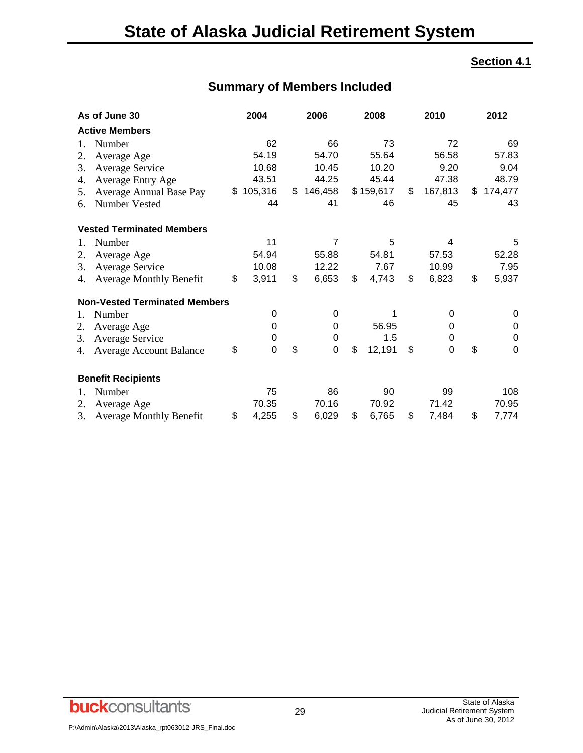#### **Section 4.1**

## **Summary of Members Included**

| As of June 30        |                                      | 2004        | 2006          | 2008         | 2010          | 2012              |
|----------------------|--------------------------------------|-------------|---------------|--------------|---------------|-------------------|
|                      | <b>Active Members</b>                |             |               |              |               |                   |
| 1.                   | Number                               | 62          | 66            | 73           | 72            | 69                |
| 2.                   | Average Age                          | 54.19       | 54.70         | 55.64        | 56.58         | 57.83             |
| 3.                   | <b>Average Service</b>               | 10.68       | 10.45         | 10.20        | 9.20          | 9.04              |
| 4.                   | <b>Average Entry Age</b>             | 43.51       | 44.25         | 45.44        | 47.38         | 48.79             |
| 5.                   | Average Annual Base Pay              | \$105,316   | \$<br>146,458 | \$159,617    | \$<br>167,813 | \$<br>174,477     |
| 6.                   | Number Vested                        | 44          | 41            | 46           | 45            | 43                |
|                      | <b>Vested Terminated Members</b>     |             |               |              |               |                   |
| 1.                   | Number                               | 11          | 7             | 5            | 4             | 5                 |
| 2.                   | Average Age                          | 54.94       | 55.88         | 54.81        | 57.53         | 52.28             |
| 3.                   | <b>Average Service</b>               | 10.08       | 12.22         | 7.67         | 10.99         | 7.95              |
| 4.                   | <b>Average Monthly Benefit</b>       | \$<br>3,911 | \$<br>6,653   | \$<br>4,743  | \$<br>6,823   | \$<br>5,937       |
|                      | <b>Non-Vested Terminated Members</b> |             |               |              |               |                   |
| 1.                   | Number                               | 0           | 0             | 1            | 0             | 0                 |
| 2.                   | Average Age                          | $\Omega$    | 0             | 56.95        | 0             | 0                 |
| 3.                   | <b>Average Service</b>               | 0           | $\mathbf 0$   | 1.5          | 0             | 0                 |
| 4.                   | <b>Average Account Balance</b>       | \$<br>0     | \$<br>0       | \$<br>12,191 | \$<br>0       | \$<br>$\mathbf 0$ |
|                      | <b>Benefit Recipients</b>            |             |               |              |               |                   |
| $\mathbf{1}_{\cdot}$ | Number                               | 75          | 86            | 90           | 99            | 108               |
| 2.                   | Average Age                          | 70.35       | 70.16         | 70.92        | 71.42         | 70.95             |
| 3.                   | <b>Average Monthly Benefit</b>       | \$<br>4,255 | \$<br>6,029   | \$<br>6,765  | \$<br>7,484   | \$<br>7,774       |

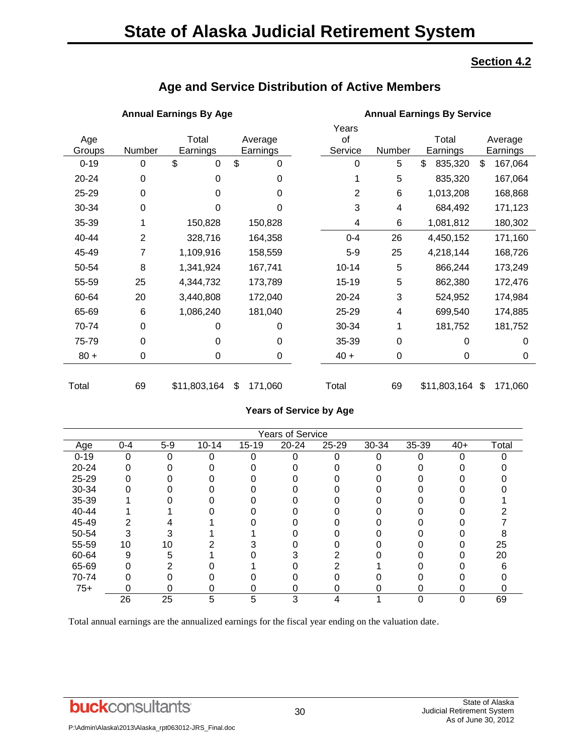## **State of Alaska Judicial Retirement System**

#### **Section 4.2**

## **Age and Service Distribution of Active Members**

#### **Annual Earnings By Age Annual Earnings By Service**

|          |                |                |               |  | Years     |             |               |               |
|----------|----------------|----------------|---------------|--|-----------|-------------|---------------|---------------|
| Age      |                | Total          | Average       |  | of        |             | Total         | Average       |
| Groups   | Number         | Earnings       | Earnings      |  | Service   | Number      | Earnings      | Earnings      |
| $0 - 19$ | 0              | \$<br>$\Omega$ | \$<br>0       |  | 0         | 5           | \$<br>835,320 | \$<br>167,064 |
| 20-24    | 0              | 0              | 0             |  |           | 5           | 835,320       | 167,064       |
| 25-29    | 0              | 0              | 0             |  | 2         | 6           | 1,013,208     | 168,868       |
| 30-34    | 0              | 0              | 0             |  | 3         | 4           | 684,492       | 171,123       |
| 35-39    |                | 150,828        | 150,828       |  | 4         | 6           | 1,081,812     | 180,302       |
| 40-44    | $\overline{2}$ | 328,716        | 164,358       |  | $0 - 4$   | 26          | 4,450,152     | 171,160       |
| 45-49    | 7              | 1,109,916      | 158,559       |  | $5-9$     | 25          | 4,218,144     | 168,726       |
| 50-54    | 8              | 1,341,924      | 167,741       |  | $10 - 14$ | 5           | 866,244       | 173,249       |
| 55-59    | 25             | 4,344,732      | 173,789       |  | 15-19     | 5           | 862,380       | 172,476       |
| 60-64    | 20             | 3,440,808      | 172,040       |  | 20-24     | 3           | 524,952       | 174,984       |
| 65-69    | 6              | 1,086,240      | 181,040       |  | 25-29     | 4           | 699,540       | 174,885       |
| 70-74    | 0              | 0              | 0             |  | 30-34     | 1           | 181,752       | 181,752       |
| 75-79    | 0              | 0              | 0             |  | 35-39     | 0           | 0             | 0             |
| $80 +$   | 0              | 0              | 0             |  | $40 +$    | $\mathbf 0$ | 0             | 0             |
|          |                |                |               |  |           |             |               |               |
| Total    | 69             | \$11,803,164   | \$<br>171,060 |  | Total     | 69          | \$11,803,164  | \$<br>171,060 |

#### **Years of Service by Age**

|          | <b>Years of Service</b> |       |           |           |           |       |       |       |       |       |  |  |  |  |
|----------|-------------------------|-------|-----------|-----------|-----------|-------|-------|-------|-------|-------|--|--|--|--|
| Age      | $0 - 4$                 | $5-9$ | $10 - 14$ | $15 - 19$ | $20 - 24$ | 25-29 | 30-34 | 35-39 | $40+$ | Total |  |  |  |  |
| $0 - 19$ | 0                       |       |           |           |           | O     |       |       |       |       |  |  |  |  |
| 20-24    |                         |       |           |           |           |       |       |       |       |       |  |  |  |  |
| 25-29    |                         |       |           |           |           |       |       |       |       |       |  |  |  |  |
| 30-34    |                         |       |           |           |           |       |       |       |       |       |  |  |  |  |
| 35-39    |                         |       |           |           |           |       |       |       |       |       |  |  |  |  |
| 40-44    |                         |       |           |           |           |       |       |       |       |       |  |  |  |  |
| 45-49    |                         |       |           |           |           |       |       |       |       |       |  |  |  |  |
| 50-54    |                         |       |           |           |           |       |       |       |       |       |  |  |  |  |
| 55-59    | 10                      | 10    |           |           |           |       |       |       |       | 25    |  |  |  |  |
| 60-64    | 9                       | 5     |           |           |           |       |       |       |       | 20    |  |  |  |  |
| 65-69    |                         |       |           |           |           |       |       |       |       |       |  |  |  |  |
| 70-74    |                         |       |           |           |           |       |       |       |       |       |  |  |  |  |
| $75+$    | ი                       |       |           |           | o         | O     |       | 0     |       |       |  |  |  |  |
|          | 26                      | 25    | 5         | 5         | 3         | 4     |       |       |       | 69    |  |  |  |  |

Total annual earnings are the annualized earnings for the fiscal year ending on the valuation date.

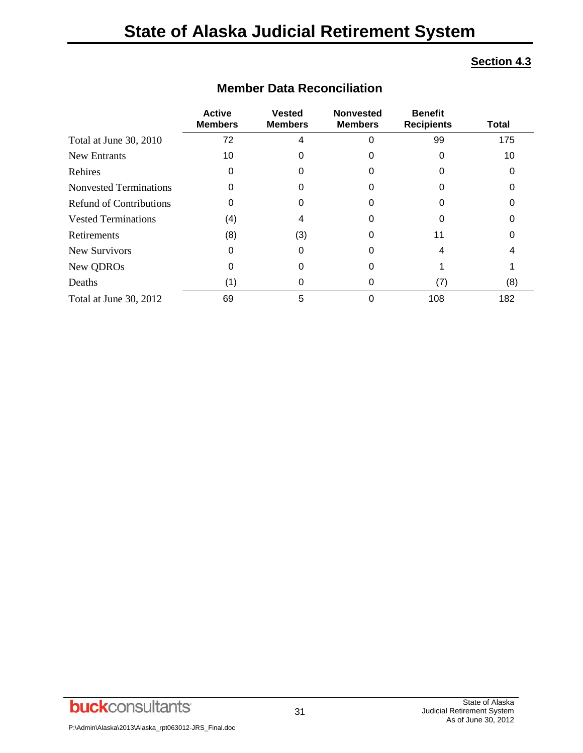#### **Section 4.3**

|                                | <b>Active</b><br><b>Members</b> | <b>Vested</b><br><b>Members</b> | <b>Nonvested</b><br><b>Members</b> | <b>Benefit</b><br><b>Recipients</b> | <b>Total</b> |
|--------------------------------|---------------------------------|---------------------------------|------------------------------------|-------------------------------------|--------------|
| Total at June 30, 2010         | 72                              |                                 |                                    | 99                                  | 175          |
| <b>New Entrants</b>            | 10                              |                                 |                                    |                                     | 10           |
| Rehires                        | O                               |                                 |                                    |                                     |              |
| <b>Nonvested Terminations</b>  | O                               |                                 |                                    |                                     |              |
| <b>Refund of Contributions</b> | 0                               |                                 |                                    |                                     |              |
| <b>Vested Terminations</b>     | (4)                             |                                 |                                    |                                     |              |
| Retirements                    | (8)                             | (3)                             | O                                  | 11                                  |              |
| <b>New Survivors</b>           | O                               |                                 |                                    |                                     |              |
| New QDROs                      | 0                               |                                 |                                    |                                     |              |
| Deaths                         | (1)                             |                                 | O                                  | (7)                                 | (8)          |
| Total at June 30, 2012         | 69                              | 5                               |                                    | 108                                 | 182          |

## **Member Data Reconciliation**

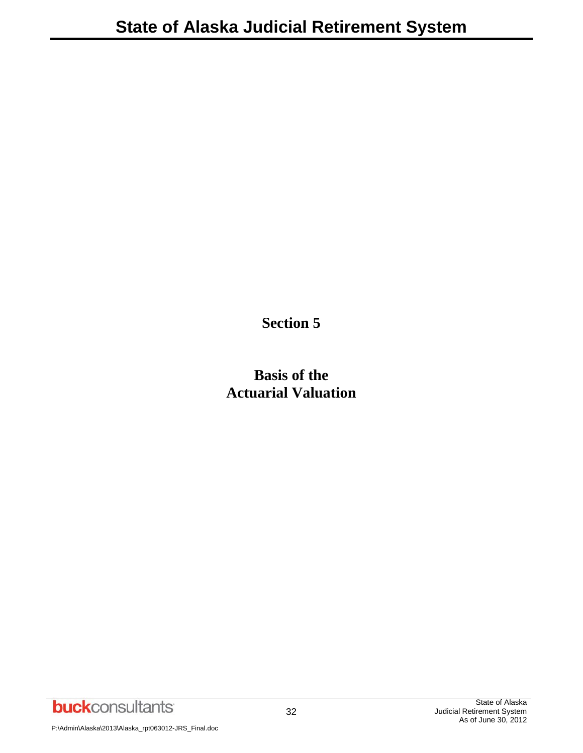**Section 5**

**Basis of the Actuarial Valuation**

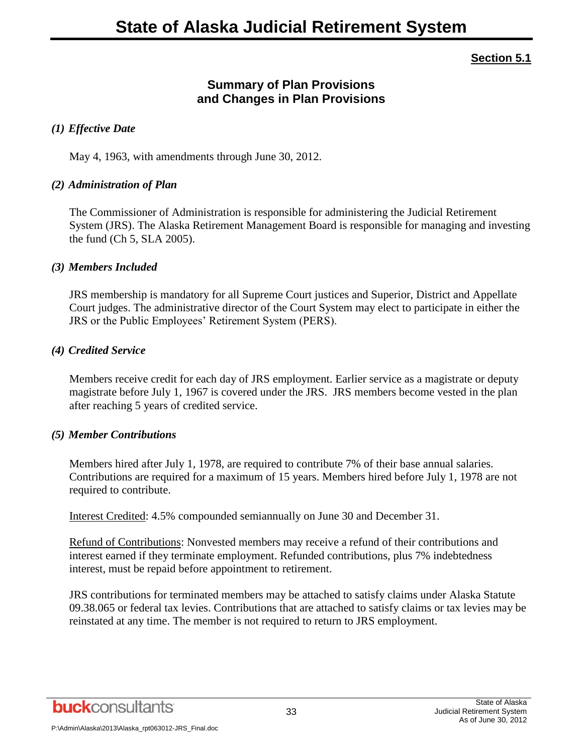#### **Section 5.1**

## **Summary of Plan Provisions and Changes in Plan Provisions**

#### *(1) Effective Date*

May 4, 1963, with amendments through June 30, 2012.

#### *(2) Administration of Plan*

The Commissioner of Administration is responsible for administering the Judicial Retirement System (JRS). The Alaska Retirement Management Board is responsible for managing and investing the fund (Ch 5, SLA 2005).

#### *(3) Members Included*

JRS membership is mandatory for all Supreme Court justices and Superior, District and Appellate Court judges. The administrative director of the Court System may elect to participate in either the JRS or the Public Employees' Retirement System (PERS).

#### *(4) Credited Service*

Members receive credit for each day of JRS employment. Earlier service as a magistrate or deputy magistrate before July 1, 1967 is covered under the JRS. JRS members become vested in the plan after reaching 5 years of credited service.

#### *(5) Member Contributions*

Members hired after July 1, 1978, are required to contribute 7% of their base annual salaries. Contributions are required for a maximum of 15 years. Members hired before July 1, 1978 are not required to contribute.

Interest Credited: 4.5% compounded semiannually on June 30 and December 31.

Refund of Contributions: Nonvested members may receive a refund of their contributions and interest earned if they terminate employment. Refunded contributions, plus 7% indebtedness interest, must be repaid before appointment to retirement.

JRS contributions for terminated members may be attached to satisfy claims under Alaska Statute 09.38.065 or federal tax levies. Contributions that are attached to satisfy claims or tax levies may be reinstated at any time. The member is not required to return to JRS employment.

**buck**consultants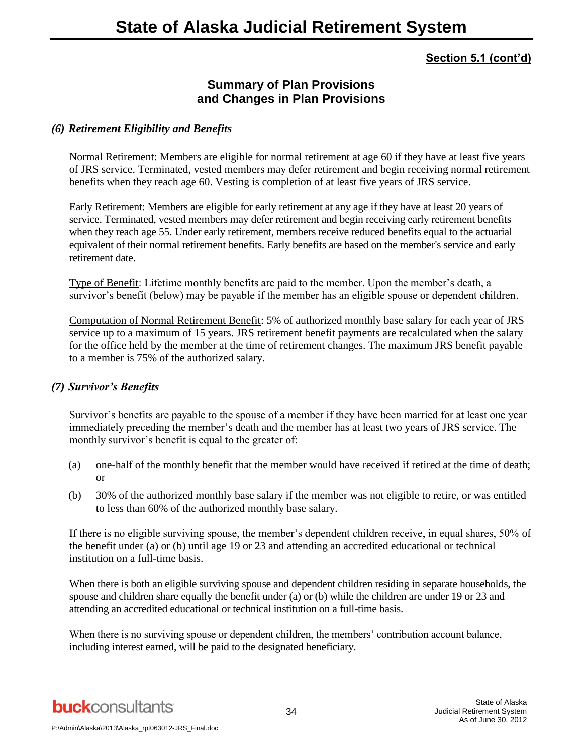## **Summary of Plan Provisions and Changes in Plan Provisions**

#### *(6) Retirement Eligibility and Benefits*

Normal Retirement: Members are eligible for normal retirement at age 60 if they have at least five years of JRS service. Terminated, vested members may defer retirement and begin receiving normal retirement benefits when they reach age 60. Vesting is completion of at least five years of JRS service.

Early Retirement: Members are eligible for early retirement at any age if they have at least 20 years of service. Terminated, vested members may defer retirement and begin receiving early retirement benefits when they reach age 55. Under early retirement, members receive reduced benefits equal to the actuarial equivalent of their normal retirement benefits. Early benefits are based on the member's service and early retirement date.

Type of Benefit: Lifetime monthly benefits are paid to the member. Upon the member's death, a survivor's benefit (below) may be payable if the member has an eligible spouse or dependent children.

Computation of Normal Retirement Benefit: 5% of authorized monthly base salary for each year of JRS service up to a maximum of 15 years. JRS retirement benefit payments are recalculated when the salary for the office held by the member at the time of retirement changes. The maximum JRS benefit payable to a member is 75% of the authorized salary.

#### *(7) Survivor's Benefits*

Survivor's benefits are payable to the spouse of a member if they have been married for at least one year immediately preceding the member's death and the member has at least two years of JRS service. The monthly survivor's benefit is equal to the greater of:

- (a) one-half of the monthly benefit that the member would have received if retired at the time of death; or
- (b) 30% of the authorized monthly base salary if the member was not eligible to retire, or was entitled to less than 60% of the authorized monthly base salary.

If there is no eligible surviving spouse, the member's dependent children receive, in equal shares, 50% of the benefit under (a) or (b) until age 19 or 23 and attending an accredited educational or technical institution on a full-time basis.

When there is both an eligible surviving spouse and dependent children residing in separate households, the spouse and children share equally the benefit under (a) or (b) while the children are under 19 or 23 and attending an accredited educational or technical institution on a full-time basis.

When there is no surviving spouse or dependent children, the members' contribution account balance, including interest earned, will be paid to the designated beneficiary.

**buck**consultants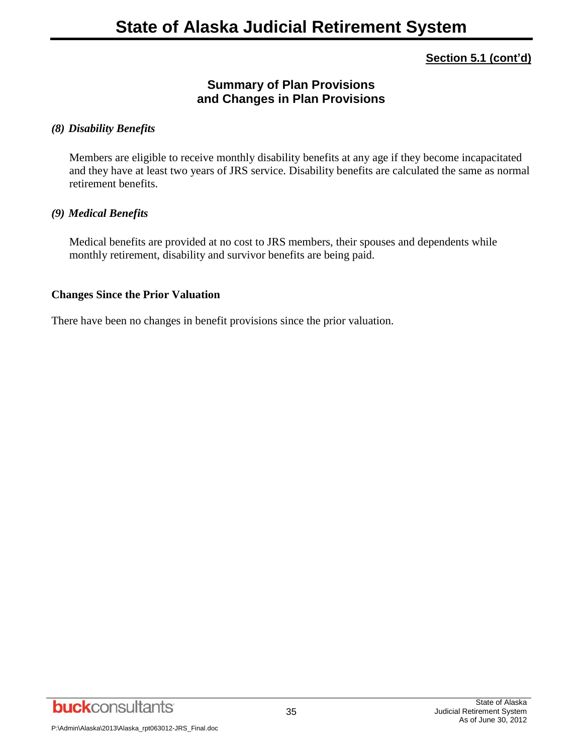## **Summary of Plan Provisions and Changes in Plan Provisions**

#### *(8) Disability Benefits*

Members are eligible to receive monthly disability benefits at any age if they become incapacitated and they have at least two years of JRS service. Disability benefits are calculated the same as normal retirement benefits.

#### *(9) Medical Benefits*

Medical benefits are provided at no cost to JRS members, their spouses and dependents while monthly retirement, disability and survivor benefits are being paid.

#### **Changes Since the Prior Valuation**

There have been no changes in benefit provisions since the prior valuation.

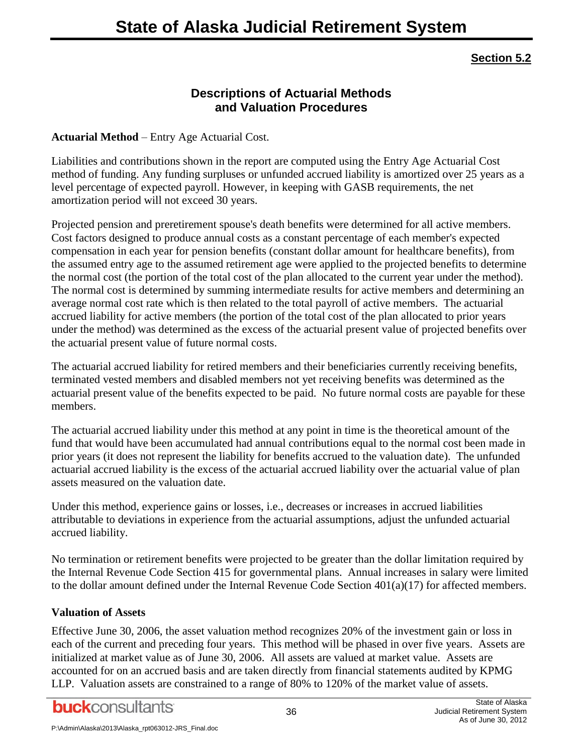### **Section 5.2**

## **Descriptions of Actuarial Methods and Valuation Procedures**

#### **Actuarial Method** – Entry Age Actuarial Cost.

Liabilities and contributions shown in the report are computed using the Entry Age Actuarial Cost method of funding. Any funding surpluses or unfunded accrued liability is amortized over 25 years as a level percentage of expected payroll. However, in keeping with GASB requirements, the net amortization period will not exceed 30 years.

Projected pension and preretirement spouse's death benefits were determined for all active members. Cost factors designed to produce annual costs as a constant percentage of each member's expected compensation in each year for pension benefits (constant dollar amount for healthcare benefits), from the assumed entry age to the assumed retirement age were applied to the projected benefits to determine the normal cost (the portion of the total cost of the plan allocated to the current year under the method). The normal cost is determined by summing intermediate results for active members and determining an average normal cost rate which is then related to the total payroll of active members. The actuarial accrued liability for active members (the portion of the total cost of the plan allocated to prior years under the method) was determined as the excess of the actuarial present value of projected benefits over the actuarial present value of future normal costs.

The actuarial accrued liability for retired members and their beneficiaries currently receiving benefits, terminated vested members and disabled members not yet receiving benefits was determined as the actuarial present value of the benefits expected to be paid. No future normal costs are payable for these members.

The actuarial accrued liability under this method at any point in time is the theoretical amount of the fund that would have been accumulated had annual contributions equal to the normal cost been made in prior years (it does not represent the liability for benefits accrued to the valuation date). The unfunded actuarial accrued liability is the excess of the actuarial accrued liability over the actuarial value of plan assets measured on the valuation date.

Under this method, experience gains or losses, i.e., decreases or increases in accrued liabilities attributable to deviations in experience from the actuarial assumptions, adjust the unfunded actuarial accrued liability.

No termination or retirement benefits were projected to be greater than the dollar limitation required by the Internal Revenue Code Section 415 for governmental plans. Annual increases in salary were limited to the dollar amount defined under the Internal Revenue Code Section  $401(a)(17)$  for affected members.

#### **Valuation of Assets**

Effective June 30, 2006, the asset valuation method recognizes 20% of the investment gain or loss in each of the current and preceding four years. This method will be phased in over five years. Assets are initialized at market value as of June 30, 2006. All assets are valued at market value. Assets are accounted for on an accrued basis and are taken directly from financial statements audited by KPMG LLP. Valuation assets are constrained to a range of 80% to 120% of the market value of assets.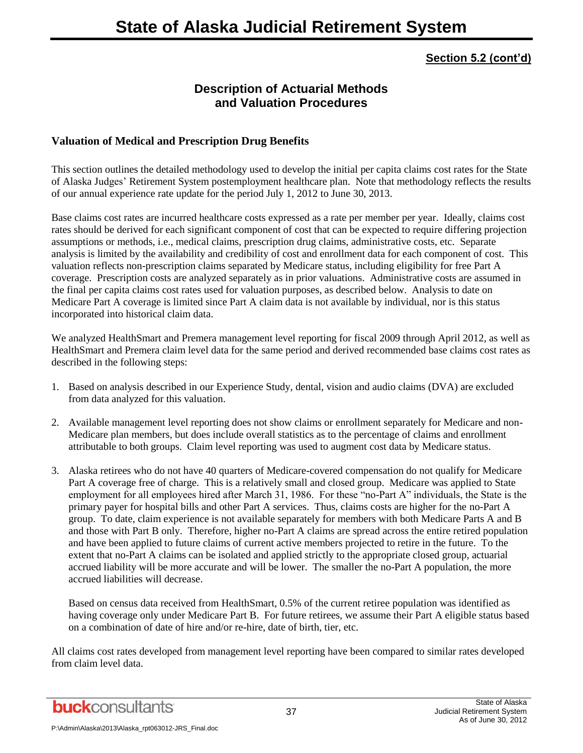## **Description of Actuarial Methods and Valuation Procedures**

#### **Valuation of Medical and Prescription Drug Benefits**

This section outlines the detailed methodology used to develop the initial per capita claims cost rates for the State of Alaska Judges' Retirement System postemployment healthcare plan. Note that methodology reflects the results of our annual experience rate update for the period July 1, 2012 to June 30, 2013.

Base claims cost rates are incurred healthcare costs expressed as a rate per member per year. Ideally, claims cost rates should be derived for each significant component of cost that can be expected to require differing projection assumptions or methods, i.e., medical claims, prescription drug claims, administrative costs, etc. Separate analysis is limited by the availability and credibility of cost and enrollment data for each component of cost. This valuation reflects non-prescription claims separated by Medicare status, including eligibility for free Part A coverage. Prescription costs are analyzed separately as in prior valuations. Administrative costs are assumed in the final per capita claims cost rates used for valuation purposes, as described below. Analysis to date on Medicare Part A coverage is limited since Part A claim data is not available by individual, nor is this status incorporated into historical claim data.

We analyzed HealthSmart and Premera management level reporting for fiscal 2009 through April 2012, as well as HealthSmart and Premera claim level data for the same period and derived recommended base claims cost rates as described in the following steps:

- 1. Based on analysis described in our Experience Study, dental, vision and audio claims (DVA) are excluded from data analyzed for this valuation.
- 2. Available management level reporting does not show claims or enrollment separately for Medicare and non-Medicare plan members, but does include overall statistics as to the percentage of claims and enrollment attributable to both groups. Claim level reporting was used to augment cost data by Medicare status.
- 3. Alaska retirees who do not have 40 quarters of Medicare-covered compensation do not qualify for Medicare Part A coverage free of charge. This is a relatively small and closed group. Medicare was applied to State employment for all employees hired after March 31, 1986. For these "no-Part A" individuals, the State is the primary payer for hospital bills and other Part A services. Thus, claims costs are higher for the no-Part A group. To date, claim experience is not available separately for members with both Medicare Parts A and B and those with Part B only. Therefore, higher no-Part A claims are spread across the entire retired population and have been applied to future claims of current active members projected to retire in the future. To the extent that no-Part A claims can be isolated and applied strictly to the appropriate closed group, actuarial accrued liability will be more accurate and will be lower. The smaller the no-Part A population, the more accrued liabilities will decrease.

Based on census data received from HealthSmart, 0.5% of the current retiree population was identified as having coverage only under Medicare Part B. For future retirees, we assume their Part A eligible status based on a combination of date of hire and/or re-hire, date of birth, tier, etc.

All claims cost rates developed from management level reporting have been compared to similar rates developed from claim level data.

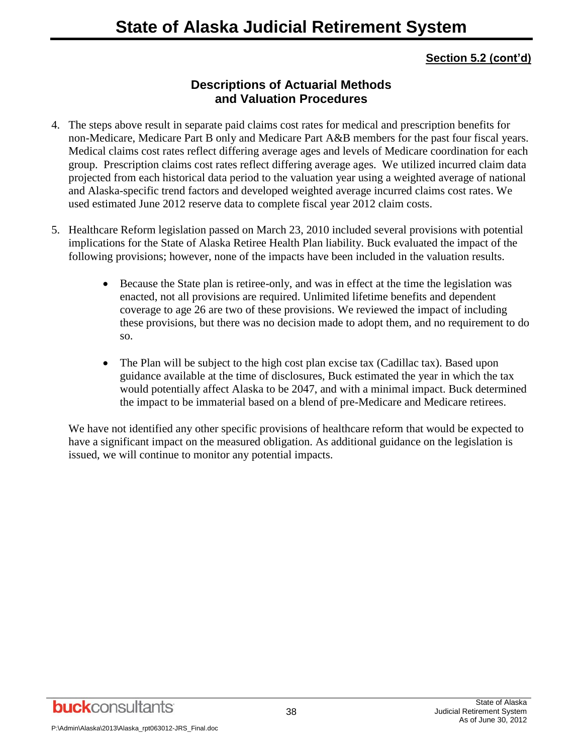## **Descriptions of Actuarial Methods and Valuation Procedures**

- 4. The steps above result in separate paid claims cost rates for medical and prescription benefits for non-Medicare, Medicare Part B only and Medicare Part A&B members for the past four fiscal years. Medical claims cost rates reflect differing average ages and levels of Medicare coordination for each group. Prescription claims cost rates reflect differing average ages. We utilized incurred claim data projected from each historical data period to the valuation year using a weighted average of national and Alaska-specific trend factors and developed weighted average incurred claims cost rates. We used estimated June 2012 reserve data to complete fiscal year 2012 claim costs.
- 5. Healthcare Reform legislation passed on March 23, 2010 included several provisions with potential implications for the State of Alaska Retiree Health Plan liability. Buck evaluated the impact of the following provisions; however, none of the impacts have been included in the valuation results.
	- Because the State plan is retiree-only, and was in effect at the time the legislation was enacted, not all provisions are required. Unlimited lifetime benefits and dependent coverage to age 26 are two of these provisions. We reviewed the impact of including these provisions, but there was no decision made to adopt them, and no requirement to do so.
	- The Plan will be subject to the high cost plan excise tax (Cadillac tax). Based upon guidance available at the time of disclosures, Buck estimated the year in which the tax would potentially affect Alaska to be 2047, and with a minimal impact. Buck determined the impact to be immaterial based on a blend of pre-Medicare and Medicare retirees.

We have not identified any other specific provisions of healthcare reform that would be expected to have a significant impact on the measured obligation. As additional guidance on the legislation is issued, we will continue to monitor any potential impacts.

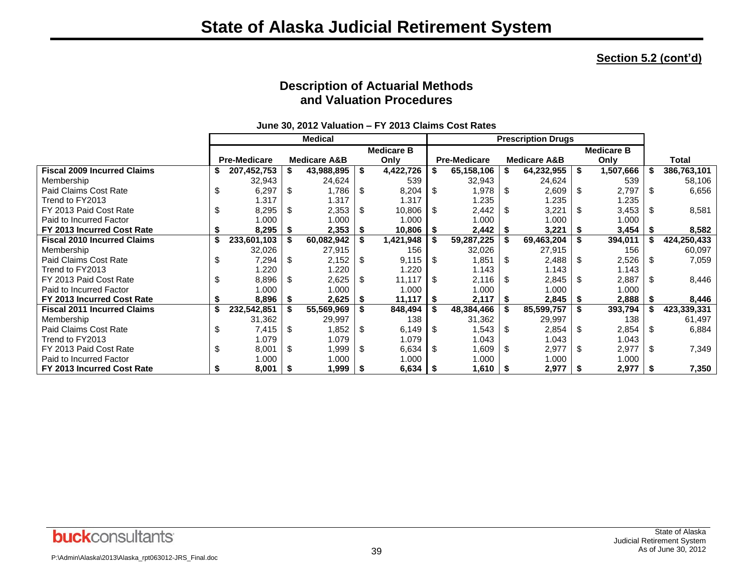## **Description of Actuarial Methods and Valuation Procedures**

|                                    |    |                     |      | <b>Medical</b>          |      |                   |            | <b>Prescription Drugs</b> |    |                         |     |                   |      |             |
|------------------------------------|----|---------------------|------|-------------------------|------|-------------------|------------|---------------------------|----|-------------------------|-----|-------------------|------|-------------|
|                                    |    |                     |      |                         |      | <b>Medicare B</b> |            |                           |    |                         |     | <b>Medicare B</b> |      |             |
|                                    |    | <b>Pre-Medicare</b> |      | <b>Medicare A&amp;B</b> |      | Only              |            | <b>Pre-Medicare</b>       |    | <b>Medicare A&amp;B</b> |     | Only              |      | Total       |
| <b>Fiscal 2009 Incurred Claims</b> | \$ | 207,452,753         |      | 43,988,895              | \$   | 4,422,726         |            | 65,158,106                |    | 64,232,955              |     | 1,507,666         |      | 386,763,101 |
| Membership                         |    | 32,943              |      | 24,624                  |      | 539               |            | 32,943                    |    | 24,624                  |     | 539               |      | 58,106      |
| Paid Claims Cost Rate              | \$ | 6,297               | \$   | 1,786                   | S    | 8,204             | - \$       | 1,978                     | S  | 2,609                   | \$  | 2,797             | S    | 6,656       |
| Trend to FY2013                    |    | 1.317               |      | 1.317                   |      | 1.317             |            | 1.235                     |    | 1.235                   |     | 1.235             |      |             |
| FY 2013 Paid Cost Rate             | \$ | 8,295               | \$   | 2,353                   | S    | 10,806            | $\sqrt{3}$ | 2,442                     | \$ | 3,221                   |     | 3,453             | \$.  | 8,581       |
| Paid to Incurred Factor            |    | 1.000               |      | 1.000                   |      | 1.000             |            | 1.000                     |    | 1.000                   |     | 1.000             |      |             |
| FY 2013 Incurred Cost Rate         |    | 8,295               | 5    | 2,353                   | - 56 | 10,806            |            | 2,442                     |    | 3,221                   |     | 3,454             |      | 8,582       |
| <b>Fiscal 2010 Incurred Claims</b> | \$ | 233,601,103         |      | 60,082,942              |      | 1,421,948         |            | 59,287,225                |    | 69,463,204              |     | 394,011           |      | 424,250,433 |
| Membership                         |    | 32,026              |      | 27,915                  |      | 156               |            | 32,026                    |    | 27,915                  |     | 156               |      | 60,097      |
| Paid Claims Cost Rate              | \$ | 7,294               | \$   | 2,152                   | -\$  | 9,115             | - \$       | 1,851                     | S  | 2,488                   | \$. | 2,526             | - \$ | 7,059       |
| Trend to FY2013                    |    | 1.220               |      | 1.220                   |      | 1.220             |            | 1.143                     |    | 1.143                   |     | 1.143             |      |             |
| FY 2013 Paid Cost Rate             | \$ | 8,896               | \$   | 2,625                   | -\$  | 11,117            | <b>IS</b>  | 2,116                     | -S | 2,845                   |     | 2,887             | ß.   | 8,446       |
| Paid to Incurred Factor            |    | 1.000               |      | 1.000                   |      | 1.000             |            | 1.000                     |    | 1.000                   |     | 1.000             |      |             |
| FY 2013 Incurred Cost Rate         |    | 8,896               | -5   | 2,625                   |      | 11,117            |            | 2,117                     |    | 2,845                   |     | 2,888             |      | 8,446       |
| <b>Fiscal 2011 Incurred Claims</b> | S  | 232,542,851         |      | 55,569,969              |      | 848,494           |            | 48,384,466                |    | 85,599,757              |     | 393,794           |      | 423,339,331 |
| Membership                         |    | 31,362              |      | 29,997                  |      | 138               |            | 31,362                    |    | 29,997                  |     | 138               |      | 61,497      |
| Paid Claims Cost Rate              | \$ | 7,415               | \$   | 1,852                   | S    | 6,149             | - \$       | .543                      | -S | 2,854                   | S   | 2,854             | \$.  | 6,884       |
| Trend to FY2013                    |    | 1.079               |      | 1.079                   |      | 1.079             |            | 1.043                     |    | 1.043                   |     | 1.043             |      |             |
| FY 2013 Paid Cost Rate             | \$ | 8,001               | \$   | 1,999                   | -\$  | 6,634             | -\$        | 1,609                     | \$ | 2,977                   | -SS | 2,977             | \$.  | 7,349       |
| Paid to Incurred Factor            |    | 1.000               |      | 1.000                   |      | 1.000             |            | 1.000                     |    | 1.000                   |     | 1.000             |      |             |
| FY 2013 Incurred Cost Rate         |    | 8,001               | - \$ | $1,999$ \$              |      | $6,634$ \$        |            | $1,610$ \$                |    | 2,977                   | - 5 | 2,977             | l Si | 7,350       |

**June 30, 2012 Valuation – FY 2013 Claims Cost Rates**

P:\Admin\Alaska\2013\Alaska\_rpt063012-JRS\_Final.doc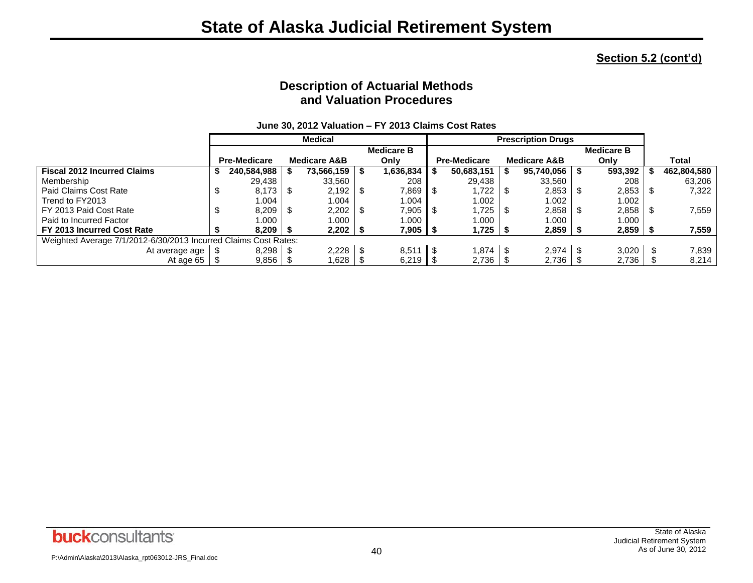## **Description of Actuarial Methods and Valuation Procedures**

|                                                                 | <b>Medical</b> |                     |  |                         | <b>Prescription Drugs</b> |                    |     |                     |  |                         |                   |  |             |
|-----------------------------------------------------------------|----------------|---------------------|--|-------------------------|---------------------------|--------------------|-----|---------------------|--|-------------------------|-------------------|--|-------------|
|                                                                 |                |                     |  |                         |                           | <b>Medicare B</b>  |     |                     |  |                         | <b>Medicare B</b> |  |             |
|                                                                 |                | <b>Pre-Medicare</b> |  | <b>Medicare A&amp;B</b> |                           | Only               |     | <b>Pre-Medicare</b> |  | <b>Medicare A&amp;B</b> | Only              |  | Total       |
| <b>Fiscal 2012 Incurred Claims</b>                              |                | 240,584,988         |  | 73,566,159              |                           | 1,636,834          |     | 50,683,151          |  | $95,740,056$   \$       | 593,392           |  | 462,804,580 |
| Membership                                                      |                | 29,438              |  | 33,560                  |                           | 208                |     | 29,438              |  | 33,560                  | 208               |  | 63,206      |
| Paid Claims Cost Rate                                           |                | 8,173               |  | 2,192                   |                           | 7,869   \$         |     | .722                |  |                         | 2,853             |  | 7,322       |
| Trend to FY2013                                                 |                | ۔004                |  | .004                    |                           | 1.004              |     | 1.002               |  | 1.002                   | 1.002             |  |             |
| FY 2013 Paid Cost Rate                                          |                | 8,209               |  | 2,202                   |                           | 7,905 S            |     | .725                |  | $2,858$   \$            | 2,858             |  | 7,559       |
| Paid to Incurred Factor                                         |                | 1.000               |  | .000                    |                           | 1.000              |     | 1.000               |  | 1.000                   | 1.000             |  |             |
| FY 2013 Incurred Cost Rate                                      |                | 8.209               |  | $2,202$   \$            |                           | 7,905   \$         |     | 1,725               |  | $2,859$   \$            | $2,859$ \ \;      |  | 7,559       |
| Weighted Average 7/1/2012-6/30/2013 Incurred Claims Cost Rates: |                |                     |  |                         |                           |                    |     |                     |  |                         |                   |  |             |
| At average age                                                  |                | 8,298               |  | $2,228$   \$            |                           | 8,511              | 1 S | .874                |  | $2,974$   \$            | 3,020             |  | 7.839       |
| At age 65 $\frac{1}{3}$                                         |                | 9,856               |  | .628                    |                           | $6,219$ $\sqrt{5}$ |     | 2,736               |  | $2,736$ $\mid$ 3        | 2,736             |  | 8,214       |

#### **June 30, 2012 Valuation – FY 2013 Claims Cost Rates**

P:\Admin\Alaska\2013\Alaska\_rpt063012-JRS\_Final.doc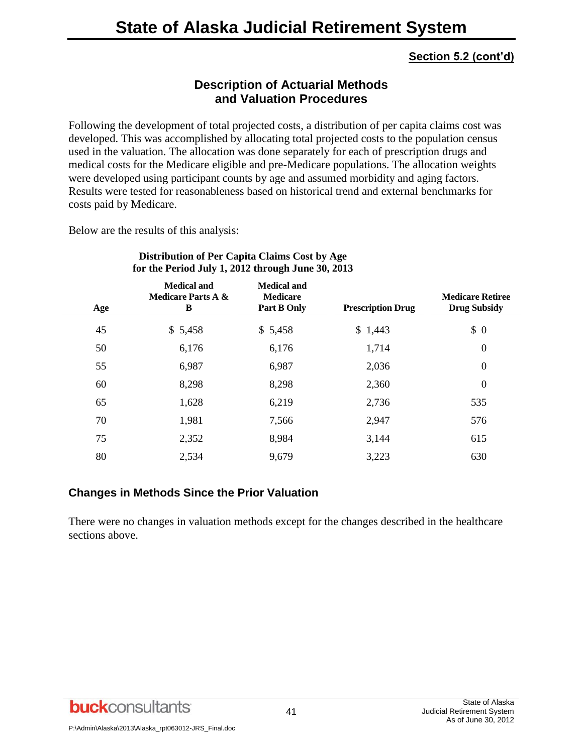## **Description of Actuarial Methods and Valuation Procedures**

Following the development of total projected costs, a distribution of per capita claims cost was developed. This was accomplished by allocating total projected costs to the population census used in the valuation. The allocation was done separately for each of prescription drugs and medical costs for the Medicare eligible and pre-Medicare populations. The allocation weights were developed using participant counts by age and assumed morbidity and aging factors. Results were tested for reasonableness based on historical trend and external benchmarks for costs paid by Medicare.

Below are the results of this analysis:

| Age | <b>Medical and</b><br><b>Medicare Parts A &amp;</b><br>B | <b>Medical and</b><br><b>Medicare</b><br>Part B Only | <b>Prescription Drug</b> | <b>Medicare Retiree</b><br><b>Drug Subsidy</b> |
|-----|----------------------------------------------------------|------------------------------------------------------|--------------------------|------------------------------------------------|
| 45  | \$5,458                                                  | \$5,458                                              | \$1,443                  | \$0                                            |
| 50  | 6,176                                                    | 6,176                                                | 1,714                    | $\boldsymbol{0}$                               |
| 55  | 6,987                                                    | 6,987                                                | 2,036                    | 0                                              |
| 60  | 8,298                                                    | 8,298                                                | 2,360                    | $\boldsymbol{0}$                               |
| 65  | 1,628                                                    | 6,219                                                | 2,736                    | 535                                            |
| 70  | 1,981                                                    | 7,566                                                | 2,947                    | 576                                            |
| 75  | 2,352                                                    | 8,984                                                | 3,144                    | 615                                            |
| 80  | 2,534                                                    | 9,679                                                | 3,223                    | 630                                            |

#### **Distribution of Per Capita Claims Cost by Age for the Period July 1, 2012 through June 30, 2013**

#### **Changes in Methods Since the Prior Valuation**

There were no changes in valuation methods except for the changes described in the healthcare sections above.

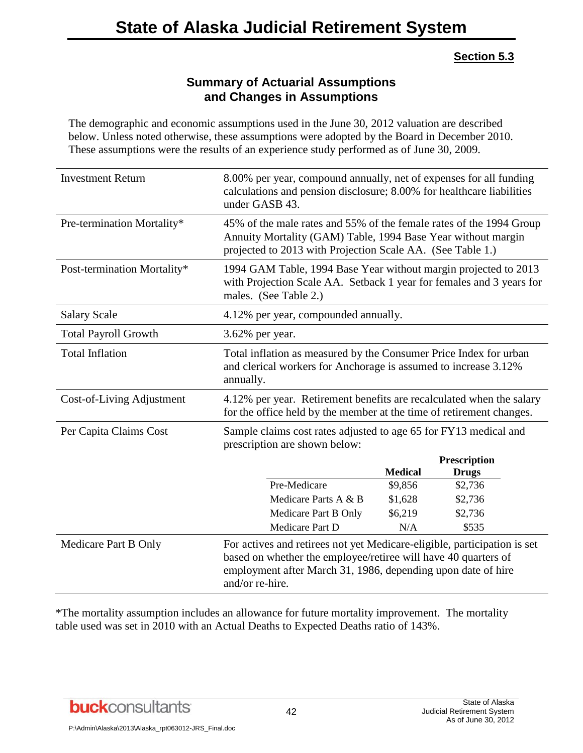#### **Section 5.3**

## **Summary of Actuarial Assumptions and Changes in Assumptions**

The demographic and economic assumptions used in the June 30, 2012 valuation are described below. Unless noted otherwise, these assumptions were adopted by the Board in December 2010. These assumptions were the results of an experience study performed as of June 30, 2009.

| <b>Investment Return</b>    | 8.00% per year, compound annually, net of expenses for all funding<br>calculations and pension disclosure; 8.00% for healthcare liabilities<br>under GASB 43.                                                                 |                    |                     |  |  |
|-----------------------------|-------------------------------------------------------------------------------------------------------------------------------------------------------------------------------------------------------------------------------|--------------------|---------------------|--|--|
| Pre-termination Mortality*  | 45% of the male rates and 55% of the female rates of the 1994 Group<br>Annuity Mortality (GAM) Table, 1994 Base Year without margin<br>projected to 2013 with Projection Scale AA. (See Table 1.)                             |                    |                     |  |  |
| Post-termination Mortality* | 1994 GAM Table, 1994 Base Year without margin projected to 2013<br>with Projection Scale AA. Setback 1 year for females and 3 years for<br>males. (See Table 2.)                                                              |                    |                     |  |  |
| <b>Salary Scale</b>         | 4.12% per year, compounded annually.                                                                                                                                                                                          |                    |                     |  |  |
| <b>Total Payroll Growth</b> | 3.62% per year.                                                                                                                                                                                                               |                    |                     |  |  |
| <b>Total Inflation</b>      | Total inflation as measured by the Consumer Price Index for urban<br>and clerical workers for Anchorage is assumed to increase 3.12%<br>annually.                                                                             |                    |                     |  |  |
| Cost-of-Living Adjustment   | 4.12% per year. Retirement benefits are recalculated when the salary<br>for the office held by the member at the time of retirement changes.                                                                                  |                    |                     |  |  |
| Per Capita Claims Cost      | Sample claims cost rates adjusted to age 65 for FY13 medical and<br>prescription are shown below:                                                                                                                             |                    |                     |  |  |
|                             |                                                                                                                                                                                                                               |                    | <b>Prescription</b> |  |  |
|                             |                                                                                                                                                                                                                               | <b>Medical</b>     | <b>Drugs</b>        |  |  |
|                             | Pre-Medicare<br>Medicare Parts A & B                                                                                                                                                                                          | \$9,856            | \$2,736             |  |  |
|                             | Medicare Part B Only                                                                                                                                                                                                          | \$1,628<br>\$6,219 | \$2,736<br>\$2,736  |  |  |
|                             | Medicare Part D                                                                                                                                                                                                               | N/A                | \$535               |  |  |
| Medicare Part B Only        | For actives and retirees not yet Medicare-eligible, participation is set<br>based on whether the employee/retiree will have 40 quarters of<br>employment after March 31, 1986, depending upon date of hire<br>and/or re-hire. |                    |                     |  |  |

\*The mortality assumption includes an allowance for future mortality improvement. The mortality table used was set in 2010 with an Actual Deaths to Expected Deaths ratio of 143%.

**buck**consultants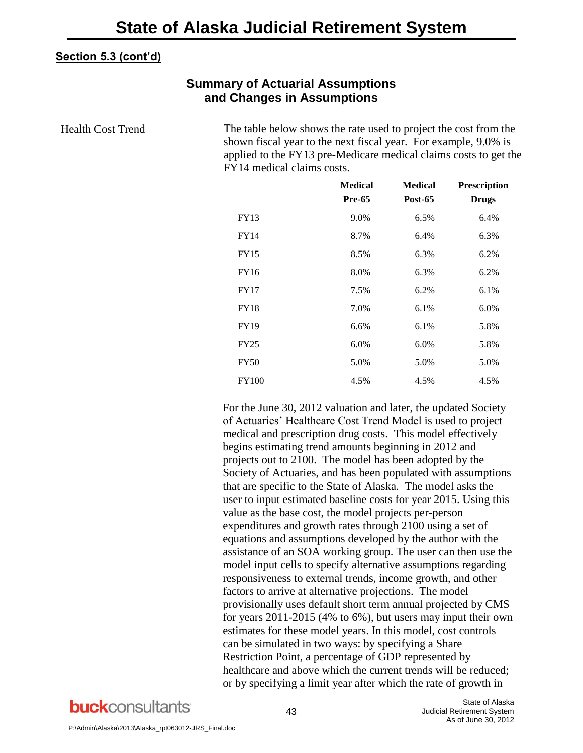## **Summary of Actuarial Assumptions and Changes in Assumptions**

Health Cost Trend The table below shows the rate used to project the cost from the shown fiscal year to the next fiscal year. For example, 9.0% is applied to the FY13 pre-Medicare medical claims costs to get the FY14 medical claims costs.

|              | <b>Medical</b><br><b>Pre-65</b> | <b>Medical</b><br><b>Post-65</b> | Prescription<br><b>Drugs</b> |
|--------------|---------------------------------|----------------------------------|------------------------------|
| <b>FY13</b>  | 9.0%                            | 6.5%                             | 6.4%                         |
| <b>FY14</b>  | 8.7%                            | 6.4%                             | 6.3%                         |
| <b>FY15</b>  | 8.5%                            | 6.3%                             | 6.2%                         |
| <b>FY16</b>  | 8.0%                            | 6.3%                             | 6.2%                         |
| <b>FY17</b>  | 7.5%                            | 6.2%                             | 6.1%                         |
| <b>FY18</b>  | 7.0%                            | 6.1%                             | 6.0%                         |
| <b>FY19</b>  | 6.6%                            | 6.1%                             | 5.8%                         |
| <b>FY25</b>  | 6.0%                            | 6.0%                             | 5.8%                         |
| <b>FY50</b>  | 5.0%                            | 5.0%                             | 5.0%                         |
| <b>FY100</b> | 4.5%                            | 4.5%                             | 4.5%                         |

For the June 30, 2012 valuation and later, the updated Society of Actuaries' Healthcare Cost Trend Model is used to project medical and prescription drug costs. This model effectively begins estimating trend amounts beginning in 2012 and projects out to 2100. The model has been adopted by the Society of Actuaries, and has been populated with assumptions that are specific to the State of Alaska. The model asks the user to input estimated baseline costs for year 2015. Using this value as the base cost, the model projects per-person expenditures and growth rates through 2100 using a set of equations and assumptions developed by the author with the assistance of an SOA working group. The user can then use the model input cells to specify alternative assumptions regarding responsiveness to external trends, income growth, and other factors to arrive at alternative projections. The model provisionally uses default short term annual projected by CMS for years 2011-2015 (4% to 6%), but users may input their own estimates for these model years. In this model, cost controls can be simulated in two ways: by specifying a Share Restriction Point, a percentage of GDP represented by healthcare and above which the current trends will be reduced; or by specifying a limit year after which the rate of growth in

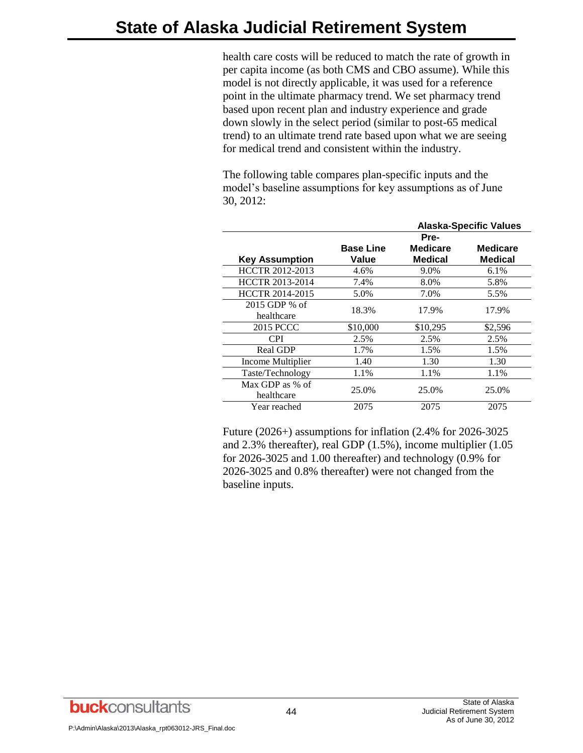health care costs will be reduced to match the rate of growth in per capita income (as both CMS and CBO assume). While this model is not directly applicable, it was used for a reference point in the ultimate pharmacy trend. We set pharmacy trend based upon recent plan and industry experience and grade down slowly in the select period (similar to post-65 medical trend) to an ultimate trend rate based upon what we are seeing for medical trend and consistent within the industry.

The following table compares plan-specific inputs and the model's baseline assumptions for key assumptions as of June 30, 2012:

|                               |                           |                                   | <b>Alaska-Specific Values</b> |
|-------------------------------|---------------------------|-----------------------------------|-------------------------------|
|                               |                           | Pre-                              |                               |
| <b>Key Assumption</b>         | <b>Base Line</b><br>Value | <b>Medicare</b><br><b>Medical</b> | Medicare<br><b>Medical</b>    |
| HCCTR 2012-2013               | 4.6%                      | 9.0%                              | 6.1%                          |
| HCCTR 2013-2014               | 7.4%                      | 8.0%                              | 5.8%                          |
| HCCTR 2014-2015               | 5.0%                      | 7.0%                              | 5.5%                          |
| $2015$ GDP % of<br>healthcare | 18.3%                     | 17.9%                             | 17.9%                         |
| <b>2015 PCCC</b>              | \$10,000                  | \$10,295                          | \$2,596                       |
| <b>CPI</b>                    | 2.5%                      | 2.5%                              | 2.5%                          |
| <b>Real GDP</b>               | 1.7%                      | 1.5%                              | 1.5%                          |
| Income Multiplier             | 1.40                      | 1.30                              | 1.30                          |
| Taste/Technology              | 1.1%                      | 1.1%                              | 1.1%                          |
| Max GDP as % of<br>healthcare | 25.0%                     | 25.0%                             | 25.0%                         |
| Year reached                  | 2075                      | 2075                              | 2075                          |

Future (2026+) assumptions for inflation (2.4% for 2026-3025 and 2.3% thereafter), real GDP (1.5%), income multiplier (1.05 for 2026-3025 and 1.00 thereafter) and technology (0.9% for 2026-3025 and 0.8% thereafter) were not changed from the baseline inputs.

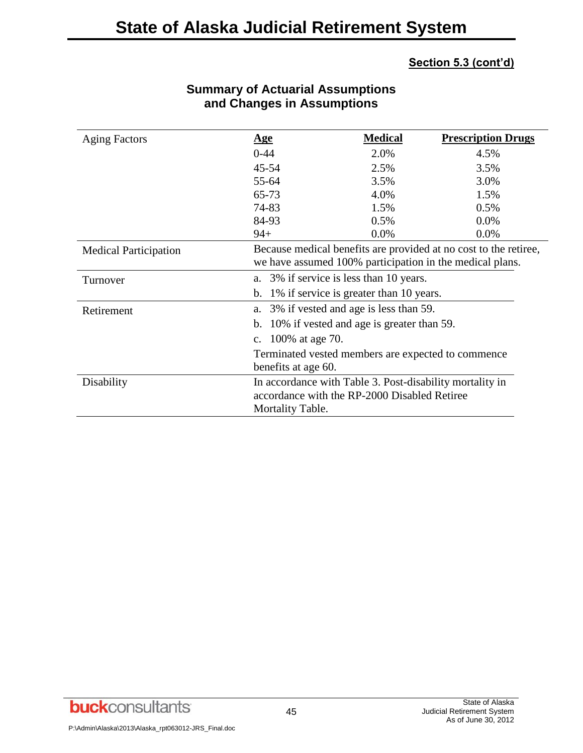| <b>Aging Factors</b>         | <u>Age</u>                                                                                                                   | <b>Medical</b> | <b>Prescription Drugs</b>                                        |
|------------------------------|------------------------------------------------------------------------------------------------------------------------------|----------------|------------------------------------------------------------------|
|                              | $0 - 44$                                                                                                                     | 2.0%           | 4.5%                                                             |
|                              | 45-54                                                                                                                        | 2.5%           | 3.5%                                                             |
|                              | 55-64                                                                                                                        | 3.5%           | 3.0%                                                             |
|                              | 65-73                                                                                                                        | 4.0%           | 1.5%                                                             |
|                              | 74-83                                                                                                                        | 1.5%           | 0.5%                                                             |
|                              | 84-93                                                                                                                        | 0.5%           | $0.0\%$                                                          |
|                              | $94+$                                                                                                                        | 0.0%           | 0.0%                                                             |
| <b>Medical Participation</b> | we have assumed 100% participation in the medical plans.                                                                     |                | Because medical benefits are provided at no cost to the retiree, |
| Turnover                     | a. 3% if service is less than 10 years.                                                                                      |                |                                                                  |
|                              | 1% if service is greater than 10 years.<br>b.                                                                                |                |                                                                  |
| Retirement                   | 3% if vested and age is less than 59.<br>a.                                                                                  |                |                                                                  |
|                              | 10% if vested and age is greater than 59.<br>b.                                                                              |                |                                                                  |
|                              | c. 100% at age 70.                                                                                                           |                |                                                                  |
|                              | Terminated vested members are expected to commence<br>benefits at age 60.                                                    |                |                                                                  |
| Disability                   | In accordance with Table 3. Post-disability mortality in<br>accordance with the RP-2000 Disabled Retiree<br>Mortality Table. |                |                                                                  |
|                              |                                                                                                                              |                |                                                                  |

## **Summary of Actuarial Assumptions and Changes in Assumptions**

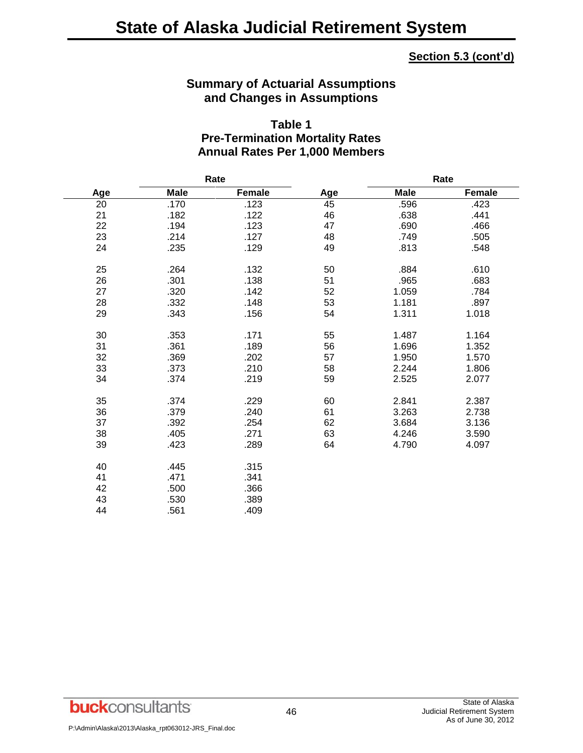#### **Summary of Actuarial Assumptions and Changes in Assumptions**

#### **Table 1 Pre-Termination Mortality Rates Annual Rates Per 1,000 Members**

|     | Rate        |        |     | Rate        |        |  |
|-----|-------------|--------|-----|-------------|--------|--|
| Age | <b>Male</b> | Female | Age | <b>Male</b> | Female |  |
| 20  | .170        | .123   | 45  | .596        | .423   |  |
| 21  | .182        | .122   | 46  | .638        | .441   |  |
| 22  | .194        | .123   | 47  | .690        | .466   |  |
| 23  | .214        | .127   | 48  | .749        | .505   |  |
| 24  | .235        | .129   | 49  | .813        | .548   |  |
| 25  | .264        | .132   | 50  | .884        | .610   |  |
| 26  | .301        | .138   | 51  | .965        | .683   |  |
| 27  | .320        | .142   | 52  | 1.059       | .784   |  |
| 28  | .332        | .148   | 53  | 1.181       | .897   |  |
| 29  | .343        | .156   | 54  | 1.311       | 1.018  |  |
| 30  | .353        | .171   | 55  | 1.487       | 1.164  |  |
| 31  | .361        | .189   | 56  | 1.696       | 1.352  |  |
| 32  | .369        | .202   | 57  | 1.950       | 1.570  |  |
| 33  | .373        | .210   | 58  | 2.244       | 1.806  |  |
| 34  | .374        | .219   | 59  | 2.525       | 2.077  |  |
| 35  | .374        | .229   | 60  | 2.841       | 2.387  |  |
| 36  | .379        | .240   | 61  | 3.263       | 2.738  |  |
| 37  | .392        | .254   | 62  | 3.684       | 3.136  |  |
| 38  | .405        | .271   | 63  | 4.246       | 3.590  |  |
| 39  | .423        | .289   | 64  | 4.790       | 4.097  |  |
| 40  | .445        | .315   |     |             |        |  |
| 41  | .471        | .341   |     |             |        |  |
| 42  | .500        | .366   |     |             |        |  |
| 43  | .530        | .389   |     |             |        |  |
| 44  | .561        | .409   |     |             |        |  |

**buck**consultants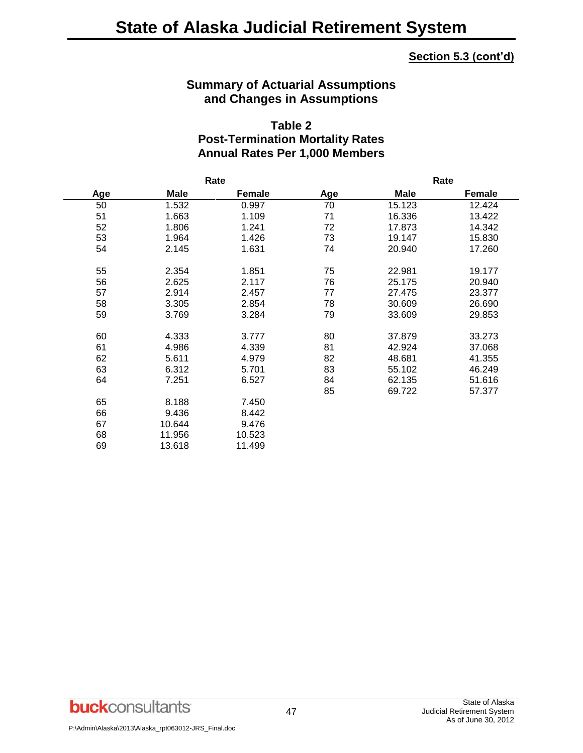#### **Summary of Actuarial Assumptions and Changes in Assumptions**

## **Table 2 Post-Termination Mortality Rates Annual Rates Per 1,000 Members**

|     |             | Rate   |     |             | Rate          |
|-----|-------------|--------|-----|-------------|---------------|
| Age | <b>Male</b> | Female | Age | <b>Male</b> | <b>Female</b> |
| 50  | 1.532       | 0.997  | 70  | 15.123      | 12.424        |
| 51  | 1.663       | 1.109  | 71  | 16.336      | 13.422        |
| 52  | 1.806       | 1.241  | 72  | 17.873      | 14.342        |
| 53  | 1.964       | 1.426  | 73  | 19.147      | 15.830        |
| 54  | 2.145       | 1.631  | 74  | 20.940      | 17.260        |
| 55  | 2.354       | 1.851  | 75  | 22.981      | 19.177        |
| 56  | 2.625       | 2.117  | 76  | 25.175      | 20.940        |
| 57  | 2.914       | 2.457  | 77  | 27.475      | 23.377        |
| 58  | 3.305       | 2.854  | 78  | 30.609      | 26.690        |
| 59  | 3.769       | 3.284  | 79  | 33.609      | 29.853        |
| 60  | 4.333       | 3.777  | 80  | 37.879      | 33.273        |
| 61  | 4.986       | 4.339  | 81  | 42.924      | 37.068        |
| 62  | 5.611       | 4.979  | 82  | 48.681      | 41.355        |
| 63  | 6.312       | 5.701  | 83  | 55.102      | 46.249        |
| 64  | 7.251       | 6.527  | 84  | 62.135      | 51.616        |
|     |             |        | 85  | 69.722      | 57.377        |
| 65  | 8.188       | 7.450  |     |             |               |
| 66  | 9.436       | 8.442  |     |             |               |
| 67  | 10.644      | 9.476  |     |             |               |
| 68  | 11.956      | 10.523 |     |             |               |
| 69  | 13.618      | 11.499 |     |             |               |

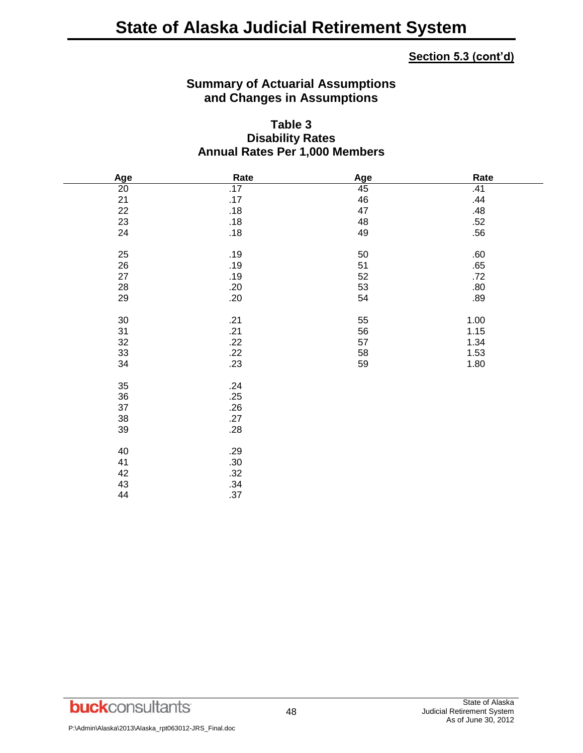## **Summary of Actuarial Assumptions and Changes in Assumptions**

#### **Table 3 Disability Rates Annual Rates Per 1,000 Members**

| Age             | Rate  | Age | Rate |
|-----------------|-------|-----|------|
| $\overline{20}$ | .17   | 45  | .41  |
| 21              | .17   | 46  | .44  |
| 22              | .18   | 47  | .48  |
| 23              | $.18$ | 48  | .52  |
| 24              | .18   | 49  | .56  |
|                 |       |     |      |
| 25              | .19   | 50  | .60  |
| 26              | .19   | 51  | .65  |
| 27              | .19   | 52  | .72  |
| 28              | .20   | 53  | .80  |
| 29              | .20   | 54  | .89  |
|                 |       |     |      |
| $30\,$          | .21   | 55  | 1.00 |
| 31              | .21   | 56  | 1.15 |
| 32              | .22   | 57  | 1.34 |
| 33              | .22   | 58  | 1.53 |
| 34              | .23   | 59  | 1.80 |
|                 |       |     |      |
| 35              | .24   |     |      |
| 36              | .25   |     |      |
| 37              | .26   |     |      |
| 38              | .27   |     |      |
| 39              | .28   |     |      |
|                 |       |     |      |
| 40              | .29   |     |      |
| 41              | .30   |     |      |
| 42              | .32   |     |      |
| 43              | .34   |     |      |
| 44              | .37   |     |      |

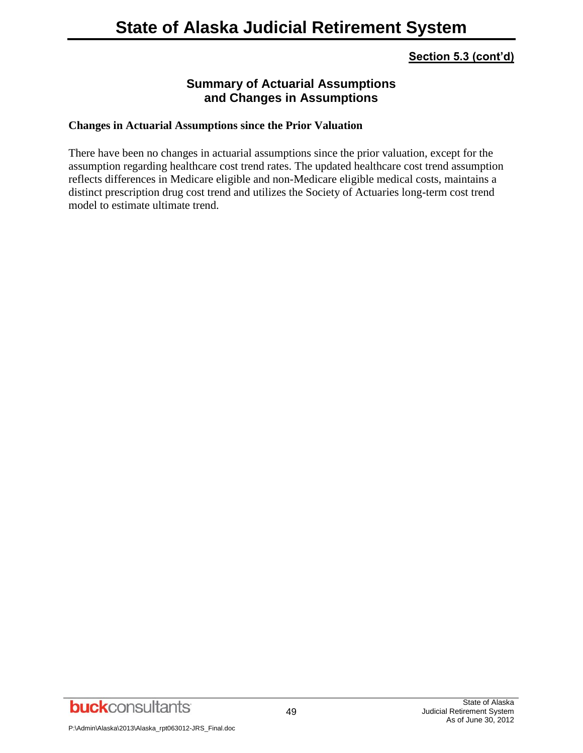## **Summary of Actuarial Assumptions and Changes in Assumptions**

#### **Changes in Actuarial Assumptions since the Prior Valuation**

There have been no changes in actuarial assumptions since the prior valuation, except for the assumption regarding healthcare cost trend rates. The updated healthcare cost trend assumption reflects differences in Medicare eligible and non-Medicare eligible medical costs, maintains a distinct prescription drug cost trend and utilizes the Society of Actuaries long-term cost trend model to estimate ultimate trend.